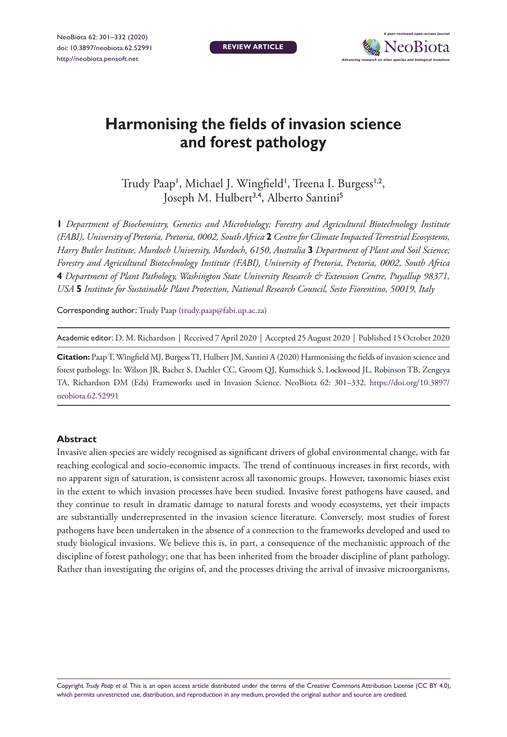**REVIEW ARTICLE**



# **Harmonising the fields of invasion science and forest pathology**

Trudy Paap', Michael J. Wingfield', Treena I. Burgess',2, Joseph M. Hulbert<sup>3,4</sup>, Alberto Santini<sup>5</sup>

**1** *Department of Biochemistry, Genetics and Microbiology; Forestry and Agricultural Biotechnology Institute (FABI), University of Pretoria, Pretoria, 0002, South Africa* **2** *Centre for Climate Impacted Terrestrial Ecosystems, Harry Butler Institute, Murdoch University, Murdoch, 6150, Australia* **3** *Department of Plant and Soil Science; Forestry and Agricultural Biotechnology Institute (FABI), University of Pretoria, Pretoria, 0002, South Africa*  **4** *Department of Plant Pathology, Washington State University Research & Extension Centre, Puyallup 98371, USA* **5** *Institute for Sustainable Plant Protection, National Research Council, Sesto Fiorentino, 50019, Italy*

Corresponding author: Trudy Paap [\(trudy.paap@fabi.up.ac.za\)](mailto:trudy.paap@fabi.up.ac.za)

Academic editor: D. M. Richardson | Received 7 April 2020 | Accepted 25 August 2020 | Published 15 October 2020

**Citation:** Paap T, Wingfield MJ, Burgess TI, Hulbert JM, Santini A (2020) Harmonising the fields of invasion science and forest pathology. In: Wilson JR, Bacher S, Daehler CC, Groom QJ, Kumschick S, Lockwood JL, Robinson TB, Zengeya TA, Richardson DM (Eds) Frameworks used in Invasion Science. NeoBiota 62: 301–332. [https://doi.org/10.3897/](https://doi.org/10.3897/neobiota.62.52991) [neobiota.62.52991](https://doi.org/10.3897/neobiota.62.52991)

### **Abstract**

Invasive alien species are widely recognised as significant drivers of global environmental change, with far reaching ecological and socio-economic impacts. The trend of continuous increases in first records, with no apparent sign of saturation, is consistent across all taxonomic groups. However, taxonomic biases exist in the extent to which invasion processes have been studied. Invasive forest pathogens have caused, and they continue to result in dramatic damage to natural forests and woody ecosystems, yet their impacts are substantially underrepresented in the invasion science literature. Conversely, most studies of forest pathogens have been undertaken in the absence of a connection to the frameworks developed and used to study biological invasions. We believe this is, in part, a consequence of the mechanistic approach of the discipline of forest pathology; one that has been inherited from the broader discipline of plant pathology. Rather than investigating the origins of, and the processes driving the arrival of invasive microorganisms,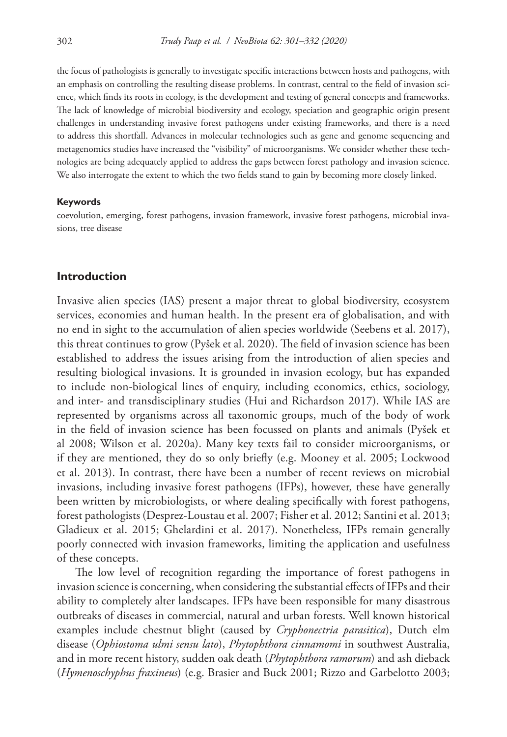the focus of pathologists is generally to investigate specific interactions between hosts and pathogens, with an emphasis on controlling the resulting disease problems. In contrast, central to the field of invasion science, which finds its roots in ecology, is the development and testing of general concepts and frameworks. The lack of knowledge of microbial biodiversity and ecology, speciation and geographic origin present challenges in understanding invasive forest pathogens under existing frameworks, and there is a need to address this shortfall. Advances in molecular technologies such as gene and genome sequencing and metagenomics studies have increased the "visibility" of microorganisms. We consider whether these technologies are being adequately applied to address the gaps between forest pathology and invasion science. We also interrogate the extent to which the two fields stand to gain by becoming more closely linked.

#### **Keywords**

coevolution, emerging, forest pathogens, invasion framework, invasive forest pathogens, microbial invasions, tree disease

#### **Introduction**

Invasive alien species (IAS) present a major threat to global biodiversity, ecosystem services, economies and human health. In the present era of globalisation, and with no end in sight to the accumulation of alien species worldwide (Seebens et al. 2017), this threat continues to grow (Pyšek et al. 2020). The field of invasion science has been established to address the issues arising from the introduction of alien species and resulting biological invasions. It is grounded in invasion ecology, but has expanded to include non-biological lines of enquiry, including economics, ethics, sociology, and inter- and transdisciplinary studies (Hui and Richardson 2017). While IAS are represented by organisms across all taxonomic groups, much of the body of work in the field of invasion science has been focussed on plants and animals (Pyšek et al 2008; Wilson et al. 2020a). Many key texts fail to consider microorganisms, or if they are mentioned, they do so only briefly (e.g. Mooney et al. 2005; Lockwood et al. 2013). In contrast, there have been a number of recent reviews on microbial invasions, including invasive forest pathogens (IFPs), however, these have generally been written by microbiologists, or where dealing specifically with forest pathogens, forest pathologists (Desprez-Loustau et al. 2007; Fisher et al. 2012; Santini et al. 2013; Gladieux et al. 2015; Ghelardini et al. 2017). Nonetheless, IFPs remain generally poorly connected with invasion frameworks, limiting the application and usefulness of these concepts.

The low level of recognition regarding the importance of forest pathogens in invasion science is concerning, when considering the substantial effects of IFPs and their ability to completely alter landscapes. IFPs have been responsible for many disastrous outbreaks of diseases in commercial, natural and urban forests. Well known historical examples include chestnut blight (caused by *Cryphonectria parasitica*), Dutch elm disease (*Ophiostoma ulmi sensu lato*), *Phytophthora cinnamomi* in southwest Australia, and in more recent history, sudden oak death (*Phytophthora ramorum*) and ash dieback (*Hymenoschyphus fraxineus*) (e.g. Brasier and Buck 2001; Rizzo and Garbelotto 2003;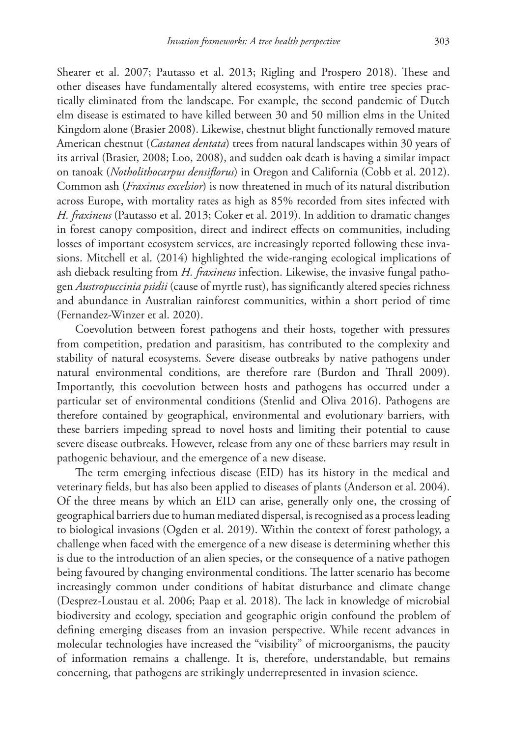Shearer et al. 2007; Pautasso et al. 2013; Rigling and Prospero 2018). These and other diseases have fundamentally altered ecosystems, with entire tree species practically eliminated from the landscape. For example, the second pandemic of Dutch elm disease is estimated to have killed between 30 and 50 million elms in the United Kingdom alone (Brasier 2008). Likewise, chestnut blight functionally removed mature American chestnut (*Castanea dentata*) trees from natural landscapes within 30 years of its arrival (Brasier, 2008; Loo, 2008), and sudden oak death is having a similar impact on tanoak (*Notholithocarpus densiflorus*) in Oregon and California (Cobb et al. 2012). Common ash (*Fraxinus excelsior*) is now threatened in much of its natural distribution across Europe, with mortality rates as high as 85% recorded from sites infected with *H. fraxineus* (Pautasso et al. 2013; Coker et al. 2019). In addition to dramatic changes in forest canopy composition, direct and indirect effects on communities, including losses of important ecosystem services, are increasingly reported following these invasions. Mitchell et al. (2014) highlighted the wide-ranging ecological implications of ash dieback resulting from *H. fraxineus* infection. Likewise, the invasive fungal pathogen *Austropuccinia psidii* (cause of myrtle rust), has significantly altered species richness and abundance in Australian rainforest communities, within a short period of time (Fernandez-Winzer et al. 2020).

Coevolution between forest pathogens and their hosts, together with pressures from competition, predation and parasitism, has contributed to the complexity and stability of natural ecosystems. Severe disease outbreaks by native pathogens under natural environmental conditions, are therefore rare (Burdon and Thrall 2009). Importantly, this coevolution between hosts and pathogens has occurred under a particular set of environmental conditions (Stenlid and Oliva 2016). Pathogens are therefore contained by geographical, environmental and evolutionary barriers, with these barriers impeding spread to novel hosts and limiting their potential to cause severe disease outbreaks. However, release from any one of these barriers may result in pathogenic behaviour, and the emergence of a new disease.

The term emerging infectious disease (EID) has its history in the medical and veterinary fields, but has also been applied to diseases of plants (Anderson et al. 2004). Of the three means by which an EID can arise, generally only one, the crossing of geographical barriers due to human mediated dispersal, is recognised as a process leading to biological invasions (Ogden et al. 2019). Within the context of forest pathology, a challenge when faced with the emergence of a new disease is determining whether this is due to the introduction of an alien species, or the consequence of a native pathogen being favoured by changing environmental conditions. The latter scenario has become increasingly common under conditions of habitat disturbance and climate change (Desprez-Loustau et al. 2006; Paap et al. 2018). The lack in knowledge of microbial biodiversity and ecology, speciation and geographic origin confound the problem of defining emerging diseases from an invasion perspective. While recent advances in molecular technologies have increased the "visibility" of microorganisms, the paucity of information remains a challenge. It is, therefore, understandable, but remains concerning, that pathogens are strikingly underrepresented in invasion science.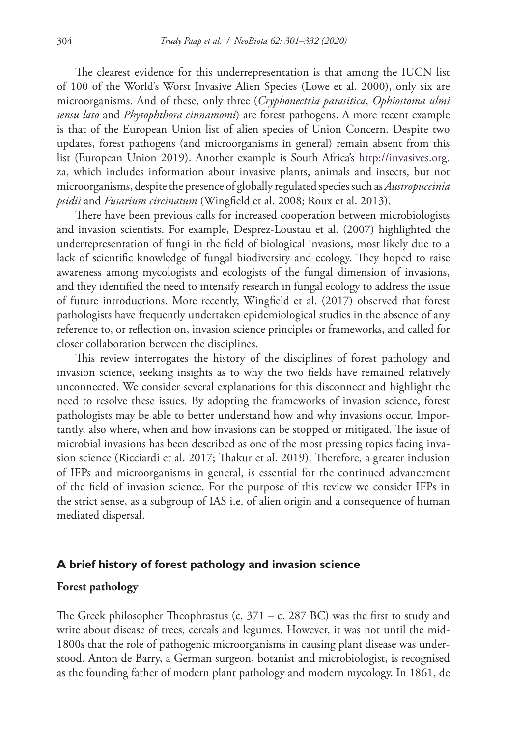The clearest evidence for this underrepresentation is that among the IUCN list of 100 of the World's Worst Invasive Alien Species (Lowe et al. 2000), only six are microorganisms. And of these, only three (*Cryphonectria parasitica*, *Ophiostoma ulmi sensu lato* and *Phytophthora cinnamomi*) are forest pathogens. A more recent example is that of the European Union list of alien species of Union Concern. Despite two updates, forest pathogens (and microorganisms in general) remain absent from this list (European Union 2019). Another example is South Africa's [http://invasives.org.](http://invasives.org.za) [za](http://invasives.org.za), which includes information about invasive plants, animals and insects, but not microorganisms, despite the presence of globally regulated species such as *Austropuccinia psidii* and *Fusarium circinatum* (Wingfield et al. 2008; Roux et al. 2013).

There have been previous calls for increased cooperation between microbiologists and invasion scientists. For example, Desprez-Loustau et al. (2007) highlighted the underrepresentation of fungi in the field of biological invasions, most likely due to a lack of scientific knowledge of fungal biodiversity and ecology. They hoped to raise awareness among mycologists and ecologists of the fungal dimension of invasions, and they identified the need to intensify research in fungal ecology to address the issue of future introductions. More recently, Wingfield et al. (2017) observed that forest pathologists have frequently undertaken epidemiological studies in the absence of any reference to, or reflection on, invasion science principles or frameworks, and called for closer collaboration between the disciplines.

This review interrogates the history of the disciplines of forest pathology and invasion science, seeking insights as to why the two fields have remained relatively unconnected. We consider several explanations for this disconnect and highlight the need to resolve these issues. By adopting the frameworks of invasion science, forest pathologists may be able to better understand how and why invasions occur. Importantly, also where, when and how invasions can be stopped or mitigated. The issue of microbial invasions has been described as one of the most pressing topics facing invasion science (Ricciardi et al. 2017; Thakur et al. 2019). Therefore, a greater inclusion of IFPs and microorganisms in general, is essential for the continued advancement of the field of invasion science. For the purpose of this review we consider IFPs in the strict sense, as a subgroup of IAS i.e. of alien origin and a consequence of human mediated dispersal.

### **A brief history of forest pathology and invasion science**

### **Forest pathology**

The Greek philosopher Theophrastus (c.  $371 - c$ . 287 BC) was the first to study and write about disease of trees, cereals and legumes. However, it was not until the mid-1800s that the role of pathogenic microorganisms in causing plant disease was understood. Anton de Barry, a German surgeon, botanist and microbiologist, is recognised as the founding father of modern plant pathology and modern mycology. In 1861, de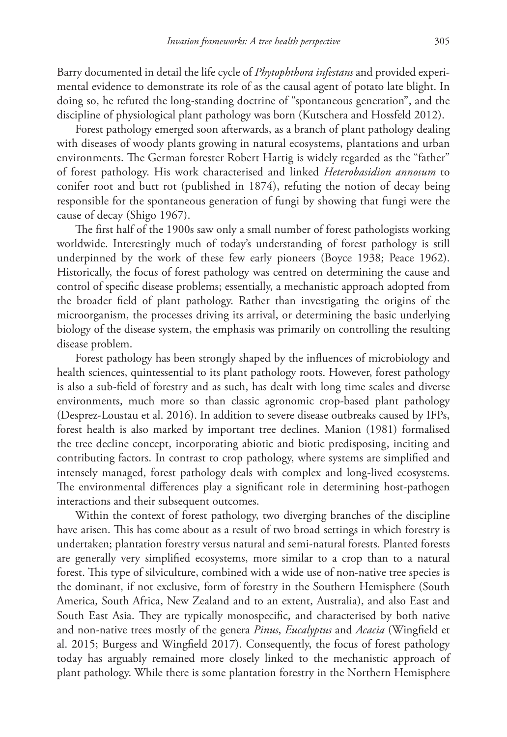Barry documented in detail the life cycle of *Phytophthora infestans* and provided experimental evidence to demonstrate its role of as the causal agent of potato late blight. In doing so, he refuted the long-standing doctrine of "spontaneous generation", and the discipline of physiological plant pathology was born (Kutschera and Hossfeld 2012).

Forest pathology emerged soon afterwards, as a branch of plant pathology dealing with diseases of woody plants growing in natural ecosystems, plantations and urban environments. The German forester Robert Hartig is widely regarded as the "father" of forest pathology. His work characterised and linked *Heterobasidion annosum* to conifer root and butt rot (published in 1874), refuting the notion of decay being responsible for the spontaneous generation of fungi by showing that fungi were the cause of decay (Shigo 1967).

The first half of the 1900s saw only a small number of forest pathologists working worldwide. Interestingly much of today's understanding of forest pathology is still underpinned by the work of these few early pioneers (Boyce 1938; Peace 1962). Historically, the focus of forest pathology was centred on determining the cause and control of specific disease problems; essentially, a mechanistic approach adopted from the broader field of plant pathology. Rather than investigating the origins of the microorganism, the processes driving its arrival, or determining the basic underlying biology of the disease system, the emphasis was primarily on controlling the resulting disease problem.

Forest pathology has been strongly shaped by the influences of microbiology and health sciences, quintessential to its plant pathology roots. However, forest pathology is also a sub-field of forestry and as such, has dealt with long time scales and diverse environments, much more so than classic agronomic crop-based plant pathology (Desprez-Loustau et al. 2016). In addition to severe disease outbreaks caused by IFPs, forest health is also marked by important tree declines. Manion (1981) formalised the tree decline concept, incorporating abiotic and biotic predisposing, inciting and contributing factors. In contrast to crop pathology, where systems are simplified and intensely managed, forest pathology deals with complex and long-lived ecosystems. The environmental differences play a significant role in determining host-pathogen interactions and their subsequent outcomes.

Within the context of forest pathology, two diverging branches of the discipline have arisen. This has come about as a result of two broad settings in which forestry is undertaken; plantation forestry versus natural and semi-natural forests. Planted forests are generally very simplified ecosystems, more similar to a crop than to a natural forest. This type of silviculture, combined with a wide use of non-native tree species is the dominant, if not exclusive, form of forestry in the Southern Hemisphere (South America, South Africa, New Zealand and to an extent, Australia), and also East and South East Asia. They are typically monospecific, and characterised by both native and non-native trees mostly of the genera *Pinus*, *Eucalyptus* and *Acacia* (Wingfield et al. 2015; Burgess and Wingfield 2017). Consequently, the focus of forest pathology today has arguably remained more closely linked to the mechanistic approach of plant pathology. While there is some plantation forestry in the Northern Hemisphere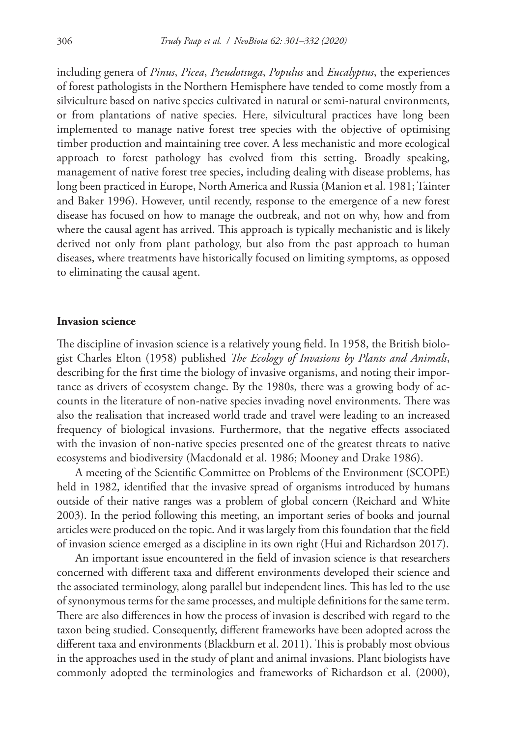including genera of *Pinus*, *Picea*, *Pseudotsuga*, *Populus* and *Eucalyptus*, the experiences of forest pathologists in the Northern Hemisphere have tended to come mostly from a silviculture based on native species cultivated in natural or semi-natural environments, or from plantations of native species. Here, silvicultural practices have long been implemented to manage native forest tree species with the objective of optimising timber production and maintaining tree cover. A less mechanistic and more ecological approach to forest pathology has evolved from this setting. Broadly speaking, management of native forest tree species, including dealing with disease problems, has long been practiced in Europe, North America and Russia (Manion et al. 1981; Tainter and Baker 1996). However, until recently, response to the emergence of a new forest disease has focused on how to manage the outbreak, and not on why, how and from where the causal agent has arrived. This approach is typically mechanistic and is likely derived not only from plant pathology, but also from the past approach to human diseases, where treatments have historically focused on limiting symptoms, as opposed to eliminating the causal agent.

#### **Invasion science**

The discipline of invasion science is a relatively young field. In 1958, the British biologist Charles Elton (1958) published *The Ecology of Invasions by Plants and Animals*, describing for the first time the biology of invasive organisms, and noting their importance as drivers of ecosystem change. By the 1980s, there was a growing body of accounts in the literature of non-native species invading novel environments. There was also the realisation that increased world trade and travel were leading to an increased frequency of biological invasions. Furthermore, that the negative effects associated with the invasion of non-native species presented one of the greatest threats to native ecosystems and biodiversity (Macdonald et al. 1986; Mooney and Drake 1986).

A meeting of the Scientific Committee on Problems of the Environment (SCOPE) held in 1982, identified that the invasive spread of organisms introduced by humans outside of their native ranges was a problem of global concern (Reichard and White 2003). In the period following this meeting, an important series of books and journal articles were produced on the topic. And it was largely from this foundation that the field of invasion science emerged as a discipline in its own right (Hui and Richardson 2017).

An important issue encountered in the field of invasion science is that researchers concerned with different taxa and different environments developed their science and the associated terminology, along parallel but independent lines. This has led to the use of synonymous terms for the same processes, and multiple definitions for the same term. There are also differences in how the process of invasion is described with regard to the taxon being studied. Consequently, different frameworks have been adopted across the different taxa and environments (Blackburn et al. 2011). This is probably most obvious in the approaches used in the study of plant and animal invasions. Plant biologists have commonly adopted the terminologies and frameworks of Richardson et al. (2000),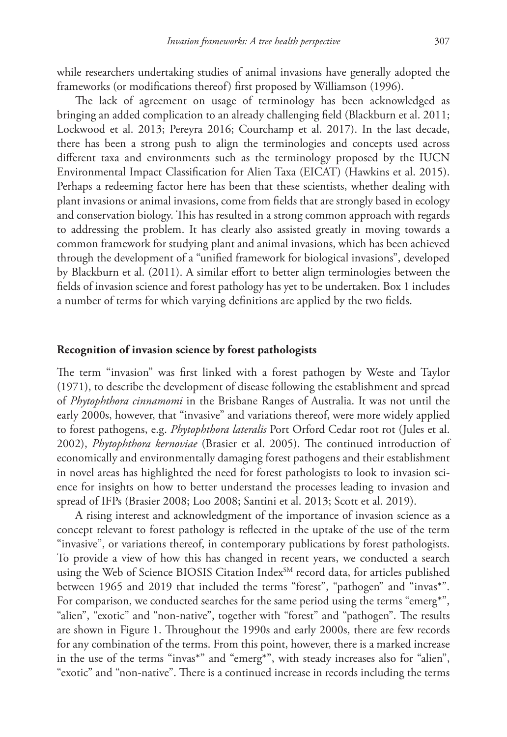while researchers undertaking studies of animal invasions have generally adopted the frameworks (or modifications thereof) first proposed by Williamson (1996).

The lack of agreement on usage of terminology has been acknowledged as bringing an added complication to an already challenging field (Blackburn et al. 2011; Lockwood et al. 2013; Pereyra 2016; Courchamp et al. 2017). In the last decade, there has been a strong push to align the terminologies and concepts used across different taxa and environments such as the terminology proposed by the IUCN Environmental Impact Classification for Alien Taxa (EICAT) (Hawkins et al. 2015). Perhaps a redeeming factor here has been that these scientists, whether dealing with plant invasions or animal invasions, come from fields that are strongly based in ecology and conservation biology. This has resulted in a strong common approach with regards to addressing the problem. It has clearly also assisted greatly in moving towards a common framework for studying plant and animal invasions, which has been achieved through the development of a "unified framework for biological invasions", developed by Blackburn et al. (2011). A similar effort to better align terminologies between the fields of invasion science and forest pathology has yet to be undertaken. Box 1 includes a number of terms for which varying definitions are applied by the two fields.

### **Recognition of invasion science by forest pathologists**

The term "invasion" was first linked with a forest pathogen by Weste and Taylor (1971), to describe the development of disease following the establishment and spread of *Phytophthora cinnamomi* in the Brisbane Ranges of Australia. It was not until the early 2000s, however, that "invasive" and variations thereof, were more widely applied to forest pathogens, e.g. *Phytophthora lateralis* Port Orford Cedar root rot (Jules et al. 2002), *Phytophthora kernoviae* (Brasier et al. 2005). The continued introduction of economically and environmentally damaging forest pathogens and their establishment in novel areas has highlighted the need for forest pathologists to look to invasion science for insights on how to better understand the processes leading to invasion and spread of IFPs (Brasier 2008; Loo 2008; Santini et al. 2013; Scott et al. 2019).

A rising interest and acknowledgment of the importance of invasion science as a concept relevant to forest pathology is reflected in the uptake of the use of the term "invasive", or variations thereof, in contemporary publications by forest pathologists. To provide a view of how this has changed in recent years, we conducted a search using the Web of Science BIOSIS Citation Index<sup>SM</sup> record data, for articles published between 1965 and 2019 that included the terms "forest", "pathogen" and "invas\*". For comparison, we conducted searches for the same period using the terms "emerg\*", "alien", "exotic" and "non-native", together with "forest" and "pathogen". The results are shown in Figure 1. Throughout the 1990s and early 2000s, there are few records for any combination of the terms. From this point, however, there is a marked increase in the use of the terms "invas\*" and "emerg\*", with steady increases also for "alien", "exotic" and "non-native". There is a continued increase in records including the terms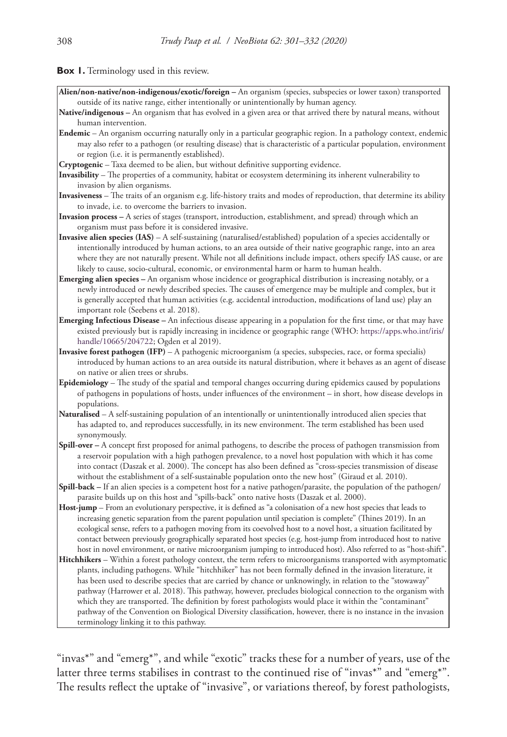**Box 1.** Terminology used in this review.

- **Alien/non-native/non-indigenous/exotic/foreign** An organism (species, subspecies or lower taxon) transported outside of its native range, either intentionally or unintentionally by human agency.
- **Native/indigenous** An organism that has evolved in a given area or that arrived there by natural means, without human intervention.
- **Endemic** An organism occurring naturally only in a particular geographic region. In a pathology context, endemic may also refer to a pathogen (or resulting disease) that is characteristic of a particular population, environment or region (i.e. it is permanently established).
- **Cryptogenic** Taxa deemed to be alien, but without definitive supporting evidence.
- **Invasibility**  The properties of a community, habitat or ecosystem determining its inherent vulnerability to invasion by alien organisms.
- **Invasiveness** The traits of an organism e.g. life-history traits and modes of reproduction, that determine its ability to invade, i.e. to overcome the barriers to invasion.
- **Invasion process** A series of stages (transport, introduction, establishment, and spread) through which an organism must pass before it is considered invasive.
- **Invasive alien species (IAS)**  A self-sustaining (naturalised/established) population of a species accidentally or intentionally introduced by human actions, to an area outside of their native geographic range, into an area where they are not naturally present. While not all definitions include impact, others specify IAS cause, or are likely to cause, socio-cultural, economic, or environmental harm or harm to human health.
- **Emerging alien species** An organism whose incidence or geographical distribution is increasing notably, or a newly introduced or newly described species. The causes of emergence may be multiple and complex, but it is generally accepted that human activities (e.g. accidental introduction, modifications of land use) play an important role (Seebens et al. 2018).
- **Emerging Infectious Disease** An infectious disease appearing in a population for the first time, or that may have existed previously but is rapidly increasing in incidence or geographic range (WHO: [https://apps.who.int/iris/](https://apps.who.int/iris/handle/10665/204722) [handle/10665/204722](https://apps.who.int/iris/handle/10665/204722); Ogden et al 2019).
- **Invasive forest pathogen (IFP)** A pathogenic microorganism (a species, subspecies, race, or forma specialis) introduced by human actions to an area outside its natural distribution, where it behaves as an agent of disease on native or alien trees or shrubs.
- **Epidemiology** The study of the spatial and temporal changes occurring during epidemics caused by populations of pathogens in populations of hosts, under influences of the environment – in short, how disease develops in populations.
- **Naturalised** A self-sustaining population of an intentionally or unintentionally introduced alien species that has adapted to, and reproduces successfully, in its new environment. The term established has been used synonymously.
- **Spill-over** A concept first proposed for animal pathogens, to describe the process of pathogen transmission from a reservoir population with a high pathogen prevalence, to a novel host population with which it has come into contact (Daszak et al. 2000). The concept has also been defined as "cross-species transmission of disease without the establishment of a self-sustainable population onto the new host" (Giraud et al. 2010).
- **Spill-back** If an alien species is a competent host for a native pathogen/parasite, the population of the pathogen/ parasite builds up on this host and "spills-back" onto native hosts (Daszak et al. 2000).
- **Host-jump** From an evolutionary perspective, it is defined as "a colonisation of a new host species that leads to increasing genetic separation from the parent population until speciation is complete" (Thines 2019). In an ecological sense, refers to a pathogen moving from its coevolved host to a novel host, a situation facilitated by contact between previously geographically separated host species (e.g. host-jump from introduced host to native host in novel environment, or native microorganism jumping to introduced host). Also referred to as "host-shift".
- **Hitchhikers** Within a forest pathology context, the term refers to microorganisms transported with asymptomatic plants, including pathogens. While "hitchhiker" has not been formally defined in the invasion literature, it has been used to describe species that are carried by chance or unknowingly, in relation to the "stowaway" pathway (Harrower et al. 2018). This pathway, however, precludes biological connection to the organism with which they are transported. The definition by forest pathologists would place it within the "contaminant" pathway of the Convention on Biological Diversity classification, however, there is no instance in the invasion terminology linking it to this pathway.

"invas\*" and "emerg\*", and while "exotic" tracks these for a number of years, use of the latter three terms stabilises in contrast to the continued rise of "invas\*" and "emerg\*". The results reflect the uptake of "invasive", or variations thereof, by forest pathologists,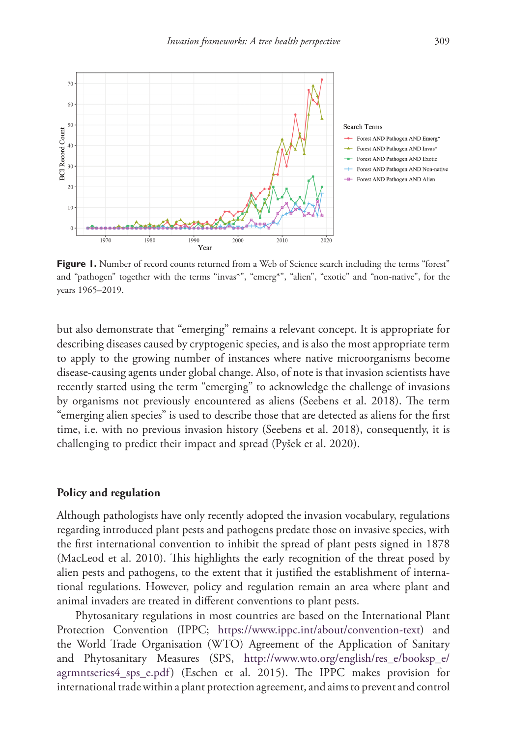

**Figure 1.** Number of record counts returned from a Web of Science search including the terms "forest" and "pathogen" together with the terms "invas\*", "emerg\*", "alien", "exotic" and "non-native", for the years 1965–2019.

but also demonstrate that "emerging" remains a relevant concept. It is appropriate for describing diseases caused by cryptogenic species, and is also the most appropriate term to apply to the growing number of instances where native microorganisms become disease-causing agents under global change. Also, of note is that invasion scientists have recently started using the term "emerging" to acknowledge the challenge of invasions by organisms not previously encountered as aliens (Seebens et al. 2018). The term "emerging alien species" is used to describe those that are detected as aliens for the first time, i.e. with no previous invasion history (Seebens et al. 2018), consequently, it is challenging to predict their impact and spread (Pyšek et al. 2020).

#### **Policy and regulation**

Although pathologists have only recently adopted the invasion vocabulary, regulations regarding introduced plant pests and pathogens predate those on invasive species, with the first international convention to inhibit the spread of plant pests signed in 1878 (MacLeod et al. 2010). This highlights the early recognition of the threat posed by alien pests and pathogens, to the extent that it justified the establishment of international regulations. However, policy and regulation remain an area where plant and animal invaders are treated in different conventions to plant pests.

Phytosanitary regulations in most countries are based on the International Plant Protection Convention (IPPC; [https://www.ippc.int/about/convention-text\)](https://www.ippc.int/about/convention-text) and the World Trade Organisation (WTO) Agreement of the Application of Sanitary and Phytosanitary Measures (SPS, [http://www.wto.org/english/res\\_e/booksp\\_e/](http://www.wto.org/english/res_e/booksp_e/agrmntseries4_sps_e.pdf) [agrmntseries4\\_sps\\_e.pdf](http://www.wto.org/english/res_e/booksp_e/agrmntseries4_sps_e.pdf)) (Eschen et al. 2015). The IPPC makes provision for international trade within a plant protection agreement, and aims to prevent and control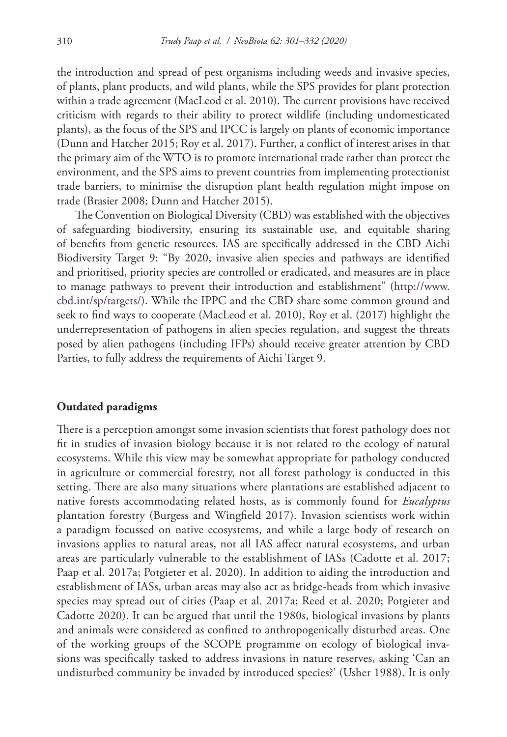the introduction and spread of pest organisms including weeds and invasive species, of plants, plant products, and wild plants, while the SPS provides for plant protection within a trade agreement (MacLeod et al. 2010). The current provisions have received criticism with regards to their ability to protect wildlife (including undomesticated plants), as the focus of the SPS and IPCC is largely on plants of economic importance (Dunn and Hatcher 2015; Roy et al. 2017). Further, a conflict of interest arises in that the primary aim of the WTO is to promote international trade rather than protect the environment, and the SPS aims to prevent countries from implementing protectionist trade barriers, to minimise the disruption plant health regulation might impose on trade (Brasier 2008; Dunn and Hatcher 2015).

The Convention on Biological Diversity (CBD) was established with the objectives of safeguarding biodiversity, ensuring its sustainable use, and equitable sharing of benefits from genetic resources. IAS are specifically addressed in the CBD Aichi Biodiversity Target 9: "By 2020, invasive alien species and pathways are identified and prioritised, priority species are controlled or eradicated, and measures are in place to manage pathways to prevent their introduction and establishment" ([http://www.](http://www.cbd.int/sp/targets/) [cbd.int/sp/targets/](http://www.cbd.int/sp/targets/)). While the IPPC and the CBD share some common ground and seek to find ways to cooperate (MacLeod et al. 2010), Roy et al. (2017) highlight the underrepresentation of pathogens in alien species regulation, and suggest the threats posed by alien pathogens (including IFPs) should receive greater attention by CBD Parties, to fully address the requirements of Aichi Target 9.

#### **Outdated paradigms**

There is a perception amongst some invasion scientists that forest pathology does not fit in studies of invasion biology because it is not related to the ecology of natural ecosystems. While this view may be somewhat appropriate for pathology conducted in agriculture or commercial forestry, not all forest pathology is conducted in this setting. There are also many situations where plantations are established adjacent to native forests accommodating related hosts, as is commonly found for *Eucalyptus* plantation forestry (Burgess and Wingfield 2017). Invasion scientists work within a paradigm focussed on native ecosystems, and while a large body of research on invasions applies to natural areas, not all IAS affect natural ecosystems, and urban areas are particularly vulnerable to the establishment of IASs (Cadotte et al. 2017; Paap et al. 2017a; Potgieter et al. 2020). In addition to aiding the introduction and establishment of IASs, urban areas may also act as bridge-heads from which invasive species may spread out of cities (Paap et al. 2017a; Reed et al. 2020; Potgieter and Cadotte 2020). It can be argued that until the 1980s, biological invasions by plants and animals were considered as confined to anthropogenically disturbed areas. One of the working groups of the SCOPE programme on ecology of biological invasions was specifically tasked to address invasions in nature reserves, asking 'Can an undisturbed community be invaded by introduced species?' (Usher 1988). It is only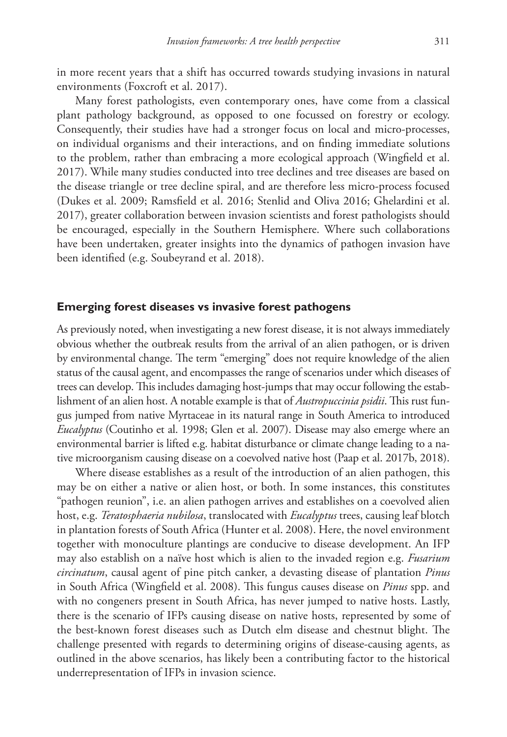in more recent years that a shift has occurred towards studying invasions in natural environments (Foxcroft et al. 2017).

Many forest pathologists, even contemporary ones, have come from a classical plant pathology background, as opposed to one focussed on forestry or ecology. Consequently, their studies have had a stronger focus on local and micro-processes, on individual organisms and their interactions, and on finding immediate solutions to the problem, rather than embracing a more ecological approach (Wingfield et al. 2017). While many studies conducted into tree declines and tree diseases are based on the disease triangle or tree decline spiral, and are therefore less micro-process focused (Dukes et al. 2009; Ramsfield et al. 2016; Stenlid and Oliva 2016; Ghelardini et al. 2017), greater collaboration between invasion scientists and forest pathologists should be encouraged, especially in the Southern Hemisphere. Where such collaborations have been undertaken, greater insights into the dynamics of pathogen invasion have been identified (e.g. Soubeyrand et al. 2018).

# **Emerging forest diseases vs invasive forest pathogens**

As previously noted, when investigating a new forest disease, it is not always immediately obvious whether the outbreak results from the arrival of an alien pathogen, or is driven by environmental change. The term "emerging" does not require knowledge of the alien status of the causal agent, and encompasses the range of scenarios under which diseases of trees can develop. This includes damaging host-jumps that may occur following the establishment of an alien host. A notable example is that of *Austropuccinia psidii*. This rust fungus jumped from native Myrtaceae in its natural range in South America to introduced *Eucalyptus* (Coutinho et al. 1998; Glen et al. 2007). Disease may also emerge where an environmental barrier is lifted e.g. habitat disturbance or climate change leading to a native microorganism causing disease on a coevolved native host (Paap et al. 2017b, 2018).

Where disease establishes as a result of the introduction of an alien pathogen, this may be on either a native or alien host, or both. In some instances, this constitutes "pathogen reunion", i.e. an alien pathogen arrives and establishes on a coevolved alien host, e.g. *Teratosphaeria nubilosa*, translocated with *Eucalyptus* trees, causing leaf blotch in plantation forests of South Africa (Hunter et al. 2008). Here, the novel environment together with monoculture plantings are conducive to disease development. An IFP may also establish on a naïve host which is alien to the invaded region e.g. *Fusarium circinatum*, causal agent of pine pitch canker, a devasting disease of plantation *Pinus*  in South Africa (Wingfield et al. 2008). This fungus causes disease on *Pinus* spp. and with no congeners present in South Africa, has never jumped to native hosts. Lastly, there is the scenario of IFPs causing disease on native hosts, represented by some of the best-known forest diseases such as Dutch elm disease and chestnut blight. The challenge presented with regards to determining origins of disease-causing agents, as outlined in the above scenarios, has likely been a contributing factor to the historical underrepresentation of IFPs in invasion science.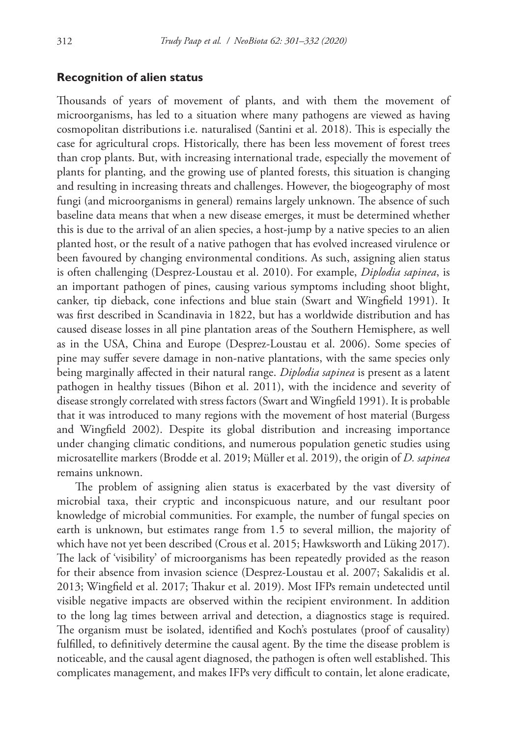### **Recognition of alien status**

Thousands of years of movement of plants, and with them the movement of microorganisms, has led to a situation where many pathogens are viewed as having cosmopolitan distributions i.e. naturalised (Santini et al. 2018). This is especially the case for agricultural crops. Historically, there has been less movement of forest trees than crop plants. But, with increasing international trade, especially the movement of plants for planting, and the growing use of planted forests, this situation is changing and resulting in increasing threats and challenges. However, the biogeography of most fungi (and microorganisms in general) remains largely unknown. The absence of such baseline data means that when a new disease emerges, it must be determined whether this is due to the arrival of an alien species, a host-jump by a native species to an alien planted host, or the result of a native pathogen that has evolved increased virulence or been favoured by changing environmental conditions. As such, assigning alien status is often challenging (Desprez-Loustau et al. 2010). For example, *Diplodia sapinea*, is an important pathogen of pines, causing various symptoms including shoot blight, canker, tip dieback, cone infections and blue stain (Swart and Wingfield 1991). It was first described in Scandinavia in 1822, but has a worldwide distribution and has caused disease losses in all pine plantation areas of the Southern Hemisphere, as well as in the USA, China and Europe (Desprez-Loustau et al. 2006). Some species of pine may suffer severe damage in non-native plantations, with the same species only being marginally affected in their natural range. *Diplodia sapinea* is present as a latent pathogen in healthy tissues (Bihon et al. 2011), with the incidence and severity of disease strongly correlated with stress factors (Swart and Wingfield 1991). It is probable that it was introduced to many regions with the movement of host material (Burgess and Wingfield 2002). Despite its global distribution and increasing importance under changing climatic conditions, and numerous population genetic studies using microsatellite markers (Brodde et al. 2019; Müller et al. 2019), the origin of *D. sapinea*  remains unknown.

The problem of assigning alien status is exacerbated by the vast diversity of microbial taxa, their cryptic and inconspicuous nature, and our resultant poor knowledge of microbial communities. For example, the number of fungal species on earth is unknown, but estimates range from 1.5 to several million, the majority of which have not yet been described (Crous et al. 2015; Hawksworth and Lüking 2017). The lack of 'visibility' of microorganisms has been repeatedly provided as the reason for their absence from invasion science (Desprez-Loustau et al. 2007; Sakalidis et al. 2013; Wingfield et al. 2017; Thakur et al. 2019). Most IFPs remain undetected until visible negative impacts are observed within the recipient environment. In addition to the long lag times between arrival and detection, a diagnostics stage is required. The organism must be isolated, identified and Koch's postulates (proof of causality) fulfilled, to definitively determine the causal agent. By the time the disease problem is noticeable, and the causal agent diagnosed, the pathogen is often well established. This complicates management, and makes IFPs very difficult to contain, let alone eradicate,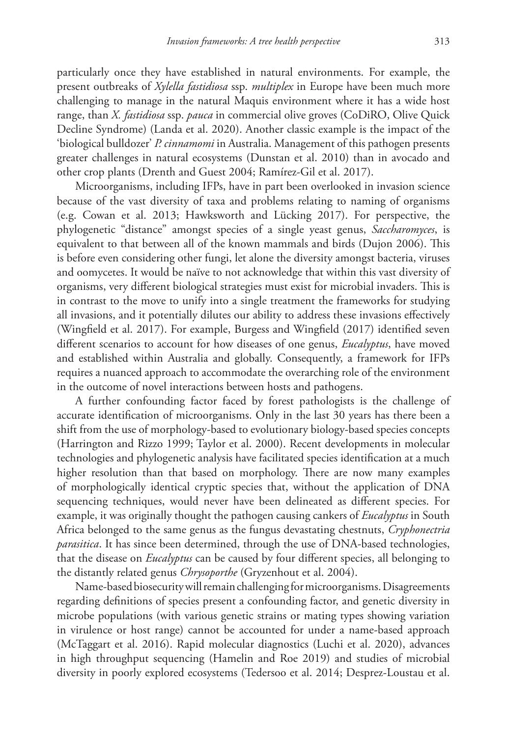particularly once they have established in natural environments. For example, the present outbreaks of *Xylella fastidiosa* ssp. *multiplex* in Europe have been much more challenging to manage in the natural Maquis environment where it has a wide host range, than *X. fastidiosa* ssp. *pauca* in commercial olive groves (CoDiRO, Olive Quick Decline Syndrome) (Landa et al. 2020). Another classic example is the impact of the 'biological bulldozer' *P. cinnamomi* in Australia. Management of this pathogen presents greater challenges in natural ecosystems (Dunstan et al. 2010) than in avocado and other crop plants (Drenth and Guest 2004; Ramírez‐Gil et al. 2017).

Microorganisms, including IFPs, have in part been overlooked in invasion science because of the vast diversity of taxa and problems relating to naming of organisms (e.g. Cowan et al. 2013; Hawksworth and Lücking 2017). For perspective, the phylogenetic "distance" amongst species of a single yeast genus, *Saccharomyces*, is equivalent to that between all of the known mammals and birds (Dujon 2006). This is before even considering other fungi, let alone the diversity amongst bacteria, viruses and oomycetes. It would be naïve to not acknowledge that within this vast diversity of organisms, very different biological strategies must exist for microbial invaders. This is in contrast to the move to unify into a single treatment the frameworks for studying all invasions, and it potentially dilutes our ability to address these invasions effectively (Wingfield et al. 2017). For example, Burgess and Wingfield (2017) identified seven different scenarios to account for how diseases of one genus, *Eucalyptus*, have moved and established within Australia and globally. Consequently, a framework for IFPs requires a nuanced approach to accommodate the overarching role of the environment in the outcome of novel interactions between hosts and pathogens.

A further confounding factor faced by forest pathologists is the challenge of accurate identification of microorganisms. Only in the last 30 years has there been a shift from the use of morphology-based to evolutionary biology-based species concepts (Harrington and Rizzo 1999; Taylor et al. 2000). Recent developments in molecular technologies and phylogenetic analysis have facilitated species identification at a much higher resolution than that based on morphology. There are now many examples of morphologically identical cryptic species that, without the application of DNA sequencing techniques, would never have been delineated as different species. For example, it was originally thought the pathogen causing cankers of *Eucalyptus* in South Africa belonged to the same genus as the fungus devastating chestnuts, *Cryphonectria parasitica*. It has since been determined, through the use of DNA-based technologies, that the disease on *Eucalyptus* can be caused by four different species, all belonging to the distantly related genus *Chrysoporthe* (Gryzenhout et al. 2004).

Name-based biosecurity will remain challenging for microorganisms. Disagreements regarding definitions of species present a confounding factor, and genetic diversity in microbe populations (with various genetic strains or mating types showing variation in virulence or host range) cannot be accounted for under a name-based approach (McTaggart et al. 2016). Rapid molecular diagnostics (Luchi et al. 2020), advances in high throughput sequencing (Hamelin and Roe 2019) and studies of microbial diversity in poorly explored ecosystems (Tedersoo et al. 2014; Desprez-Loustau et al.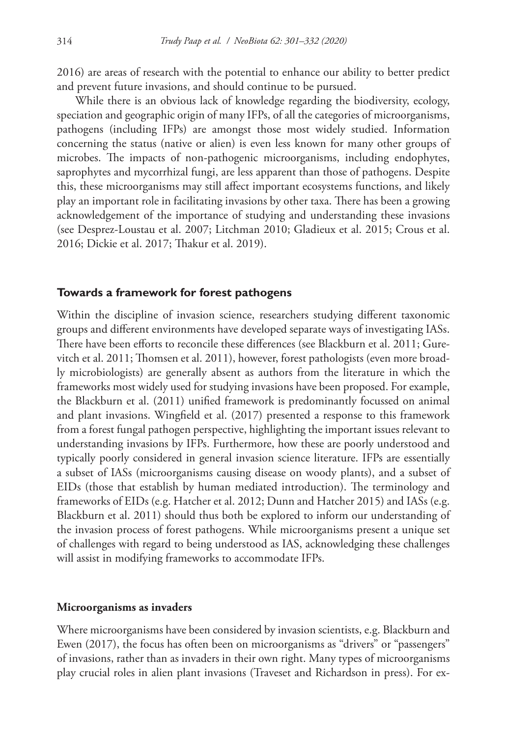2016) are areas of research with the potential to enhance our ability to better predict and prevent future invasions, and should continue to be pursued.

While there is an obvious lack of knowledge regarding the biodiversity, ecology, speciation and geographic origin of many IFPs, of all the categories of microorganisms, pathogens (including IFPs) are amongst those most widely studied. Information concerning the status (native or alien) is even less known for many other groups of microbes. The impacts of non-pathogenic microorganisms, including endophytes, saprophytes and mycorrhizal fungi, are less apparent than those of pathogens. Despite this, these microorganisms may still affect important ecosystems functions, and likely play an important role in facilitating invasions by other taxa. There has been a growing acknowledgement of the importance of studying and understanding these invasions (see Desprez-Loustau et al. 2007; Litchman 2010; Gladieux et al. 2015; Crous et al. 2016; Dickie et al. 2017; Thakur et al. 2019).

### **Towards a framework for forest pathogens**

Within the discipline of invasion science, researchers studying different taxonomic groups and different environments have developed separate ways of investigating IASs. There have been efforts to reconcile these differences (see Blackburn et al. 2011; Gurevitch et al. 2011; Thomsen et al. 2011), however, forest pathologists (even more broadly microbiologists) are generally absent as authors from the literature in which the frameworks most widely used for studying invasions have been proposed. For example, the Blackburn et al. (2011) unified framework is predominantly focussed on animal and plant invasions. Wingfield et al. (2017) presented a response to this framework from a forest fungal pathogen perspective, highlighting the important issues relevant to understanding invasions by IFPs. Furthermore, how these are poorly understood and typically poorly considered in general invasion science literature. IFPs are essentially a subset of IASs (microorganisms causing disease on woody plants), and a subset of EIDs (those that establish by human mediated introduction). The terminology and frameworks of EIDs (e.g. Hatcher et al. 2012; Dunn and Hatcher 2015) and IASs (e.g. Blackburn et al. 2011) should thus both be explored to inform our understanding of the invasion process of forest pathogens. While microorganisms present a unique set of challenges with regard to being understood as IAS, acknowledging these challenges will assist in modifying frameworks to accommodate IFPs.

#### **Microorganisms as invaders**

Where microorganisms have been considered by invasion scientists, e.g. Blackburn and Ewen (2017), the focus has often been on microorganisms as "drivers" or "passengers" of invasions, rather than as invaders in their own right. Many types of microorganisms play crucial roles in alien plant invasions (Traveset and Richardson in press). For ex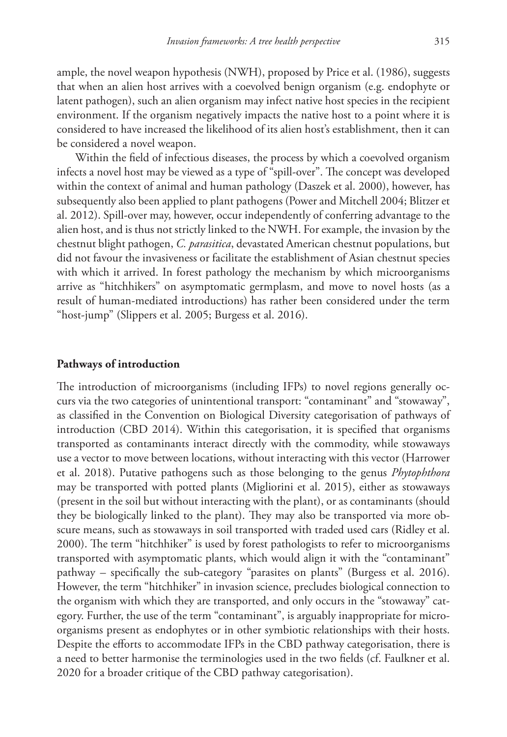ample, the novel weapon hypothesis (NWH), proposed by Price et al. (1986), suggests that when an alien host arrives with a coevolved benign organism (e.g. endophyte or latent pathogen), such an alien organism may infect native host species in the recipient environment. If the organism negatively impacts the native host to a point where it is considered to have increased the likelihood of its alien host's establishment, then it can be considered a novel weapon.

Within the field of infectious diseases, the process by which a coevolved organism infects a novel host may be viewed as a type of "spill-over". The concept was developed within the context of animal and human pathology (Daszek et al. 2000), however, has subsequently also been applied to plant pathogens (Power and Mitchell 2004; Blitzer et al. 2012). Spill-over may, however, occur independently of conferring advantage to the alien host, and is thus not strictly linked to the NWH. For example, the invasion by the chestnut blight pathogen, *C. parasitica*, devastated American chestnut populations, but did not favour the invasiveness or facilitate the establishment of Asian chestnut species with which it arrived. In forest pathology the mechanism by which microorganisms arrive as "hitchhikers" on asymptomatic germplasm, and move to novel hosts (as a result of human-mediated introductions) has rather been considered under the term "host-jump" (Slippers et al. 2005; Burgess et al. 2016).

### **Pathways of introduction**

The introduction of microorganisms (including IFPs) to novel regions generally occurs via the two categories of unintentional transport: "contaminant" and "stowaway", as classified in the Convention on Biological Diversity categorisation of pathways of introduction (CBD 2014). Within this categorisation, it is specified that organisms transported as contaminants interact directly with the commodity, while stowaways use a vector to move between locations, without interacting with this vector (Harrower et al. 2018). Putative pathogens such as those belonging to the genus *Phytophthora* may be transported with potted plants (Migliorini et al. 2015), either as stowaways (present in the soil but without interacting with the plant), or as contaminants (should they be biologically linked to the plant). They may also be transported via more obscure means, such as stowaways in soil transported with traded used cars (Ridley et al. 2000). The term "hitchhiker" is used by forest pathologists to refer to microorganisms transported with asymptomatic plants, which would align it with the "contaminant" pathway – specifically the sub-category "parasites on plants" (Burgess et al. 2016). However, the term "hitchhiker" in invasion science, precludes biological connection to the organism with which they are transported, and only occurs in the "stowaway" category. Further, the use of the term "contaminant", is arguably inappropriate for microorganisms present as endophytes or in other symbiotic relationships with their hosts. Despite the efforts to accommodate IFPs in the CBD pathway categorisation, there is a need to better harmonise the terminologies used in the two fields (cf. Faulkner et al. 2020 for a broader critique of the CBD pathway categorisation).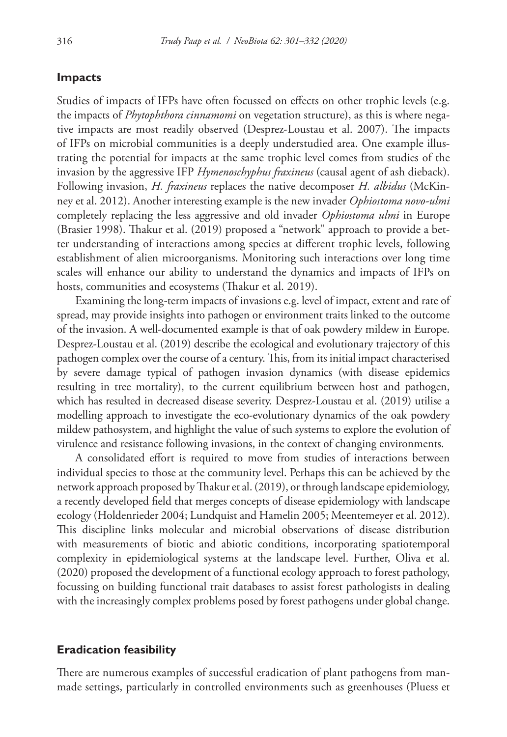# **Impacts**

Studies of impacts of IFPs have often focussed on effects on other trophic levels (e.g. the impacts of *Phytophthora cinnamomi* on vegetation structure), as this is where negative impacts are most readily observed (Desprez-Loustau et al. 2007). The impacts of IFPs on microbial communities is a deeply understudied area. One example illustrating the potential for impacts at the same trophic level comes from studies of the invasion by the aggressive IFP *Hymenoschyphus fraxineus* (causal agent of ash dieback). Following invasion, *H. fraxineus* replaces the native decomposer *H. albidus* (McKinney et al. 2012). Another interesting example is the new invader *Ophiostoma novo-ulmi* completely replacing the less aggressive and old invader *Ophiostoma ulmi* in Europe (Brasier 1998). Thakur et al. (2019) proposed a "network" approach to provide a better understanding of interactions among species at different trophic levels, following establishment of alien microorganisms. Monitoring such interactions over long time scales will enhance our ability to understand the dynamics and impacts of IFPs on hosts, communities and ecosystems (Thakur et al. 2019).

Examining the long-term impacts of invasions e.g. level of impact, extent and rate of spread, may provide insights into pathogen or environment traits linked to the outcome of the invasion. A well-documented example is that of oak powdery mildew in Europe. Desprez-Loustau et al. (2019) describe the ecological and evolutionary trajectory of this pathogen complex over the course of a century. This, from its initial impact characterised by severe damage typical of pathogen invasion dynamics (with disease epidemics resulting in tree mortality), to the current equilibrium between host and pathogen, which has resulted in decreased disease severity. Desprez-Loustau et al. (2019) utilise a modelling approach to investigate the eco-evolutionary dynamics of the oak powdery mildew pathosystem, and highlight the value of such systems to explore the evolution of virulence and resistance following invasions, in the context of changing environments.

A consolidated effort is required to move from studies of interactions between individual species to those at the community level. Perhaps this can be achieved by the network approach proposed by Thakur et al. (2019), or through landscape epidemiology, a recently developed field that merges concepts of disease epidemiology with landscape ecology (Holdenrieder 2004; Lundquist and Hamelin 2005; Meentemeyer et al. 2012). This discipline links molecular and microbial observations of disease distribution with measurements of biotic and abiotic conditions, incorporating spatiotemporal complexity in epidemiological systems at the landscape level. Further, Oliva et al. (2020) proposed the development of a functional ecology approach to forest pathology, focussing on building functional trait databases to assist forest pathologists in dealing with the increasingly complex problems posed by forest pathogens under global change.

# **Eradication feasibility**

There are numerous examples of successful eradication of plant pathogens from manmade settings, particularly in controlled environments such as greenhouses (Pluess et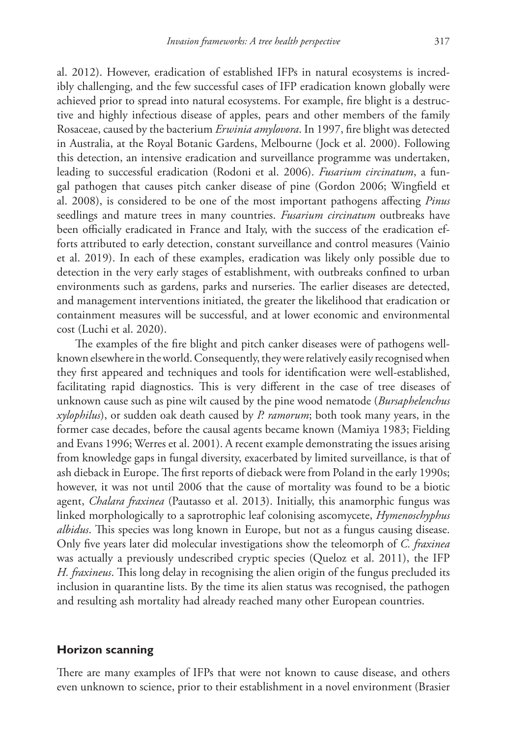al. 2012). However, eradication of established IFPs in natural ecosystems is incredibly challenging, and the few successful cases of IFP eradication known globally were achieved prior to spread into natural ecosystems. For example, fire blight is a destructive and highly infectious disease of apples, pears and other members of the family Rosaceae, caused by the bacterium *Erwinia amylovora*. In 1997, fire blight was detected in Australia, at the Royal Botanic Gardens, Melbourne (Jock et al. 2000). Following this detection, an intensive eradication and surveillance programme was undertaken, leading to successful eradication (Rodoni et al. 2006). *Fusarium circinatum*, a fungal pathogen that causes pitch canker disease of pine (Gordon 2006; Wingfield et al. 2008), is considered to be one of the most important pathogens affecting *Pinus*  seedlings and mature trees in many countries. *Fusarium circinatum* outbreaks have been officially eradicated in France and Italy, with the success of the eradication efforts attributed to early detection, constant surveillance and control measures (Vainio et al. 2019). In each of these examples, eradication was likely only possible due to detection in the very early stages of establishment, with outbreaks confined to urban environments such as gardens, parks and nurseries. The earlier diseases are detected, and management interventions initiated, the greater the likelihood that eradication or containment measures will be successful, and at lower economic and environmental cost (Luchi et al. 2020).

The examples of the fire blight and pitch canker diseases were of pathogens wellknown elsewhere in the world. Consequently, they were relatively easily recognised when they first appeared and techniques and tools for identification were well-established, facilitating rapid diagnostics. This is very different in the case of tree diseases of unknown cause such as pine wilt caused by the pine wood nematode (*Bursaphelenchus xylophilus*), or sudden oak death caused by *P. ramorum*; both took many years, in the former case decades, before the causal agents became known (Mamiya 1983; Fielding and Evans 1996; Werres et al. 2001). A recent example demonstrating the issues arising from knowledge gaps in fungal diversity, exacerbated by limited surveillance, is that of ash dieback in Europe. The first reports of dieback were from Poland in the early 1990s; however, it was not until 2006 that the cause of mortality was found to be a biotic agent, *Chalara fraxinea* (Pautasso et al. 2013). Initially, this anamorphic fungus was linked morphologically to a saprotrophic leaf colonising ascomycete, *Hymenoschyphus albidus*. This species was long known in Europe, but not as a fungus causing disease. Only five years later did molecular investigations show the teleomorph of *C. fraxinea*  was actually a previously undescribed cryptic species (Queloz et al. 2011), the IFP *H. fraxineus*. This long delay in recognising the alien origin of the fungus precluded its inclusion in quarantine lists. By the time its alien status was recognised, the pathogen and resulting ash mortality had already reached many other European countries.

### **Horizon scanning**

There are many examples of IFPs that were not known to cause disease, and others even unknown to science, prior to their establishment in a novel environment (Brasier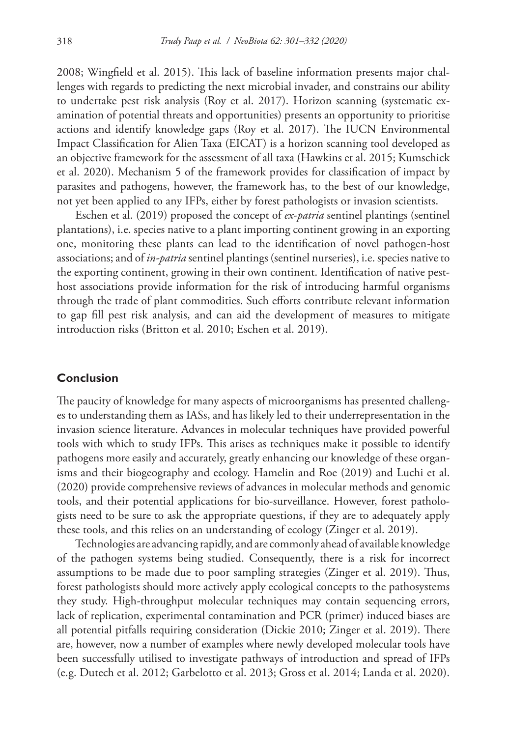2008; Wingfield et al. 2015). This lack of baseline information presents major challenges with regards to predicting the next microbial invader, and constrains our ability to undertake pest risk analysis (Roy et al. 2017). Horizon scanning (systematic examination of potential threats and opportunities) presents an opportunity to prioritise actions and identify knowledge gaps (Roy et al. 2017). The IUCN Environmental Impact Classification for Alien Taxa (EICAT) is a horizon scanning tool developed as an objective framework for the assessment of all taxa (Hawkins et al. 2015; Kumschick et al. 2020). Mechanism 5 of the framework provides for classification of impact by parasites and pathogens, however, the framework has, to the best of our knowledge, not yet been applied to any IFPs, either by forest pathologists or invasion scientists.

Eschen et al. (2019) proposed the concept of *ex-patria* sentinel plantings (sentinel plantations), i.e. species native to a plant importing continent growing in an exporting one, monitoring these plants can lead to the identification of novel pathogen-host associations; and of *in-patria* sentinel plantings (sentinel nurseries), i.e. species native to the exporting continent, growing in their own continent. Identification of native pesthost associations provide information for the risk of introducing harmful organisms through the trade of plant commodities. Such efforts contribute relevant information to gap fill pest risk analysis, and can aid the development of measures to mitigate introduction risks (Britton et al. 2010; Eschen et al. 2019).

# **Conclusion**

The paucity of knowledge for many aspects of microorganisms has presented challenges to understanding them as IASs, and has likely led to their underrepresentation in the invasion science literature. Advances in molecular techniques have provided powerful tools with which to study IFPs. This arises as techniques make it possible to identify pathogens more easily and accurately, greatly enhancing our knowledge of these organisms and their biogeography and ecology. Hamelin and Roe (2019) and Luchi et al. (2020) provide comprehensive reviews of advances in molecular methods and genomic tools, and their potential applications for bio-surveillance. However, forest pathologists need to be sure to ask the appropriate questions, if they are to adequately apply these tools, and this relies on an understanding of ecology (Zinger et al. 2019).

Technologies are advancing rapidly, and are commonly ahead of available knowledge of the pathogen systems being studied. Consequently, there is a risk for incorrect assumptions to be made due to poor sampling strategies (Zinger et al. 2019). Thus, forest pathologists should more actively apply ecological concepts to the pathosystems they study. High-throughput molecular techniques may contain sequencing errors, lack of replication, experimental contamination and PCR (primer) induced biases are all potential pitfalls requiring consideration (Dickie 2010; Zinger et al. 2019). There are, however, now a number of examples where newly developed molecular tools have been successfully utilised to investigate pathways of introduction and spread of IFPs (e.g. Dutech et al. 2012; Garbelotto et al. 2013; Gross et al. 2014; Landa et al. 2020).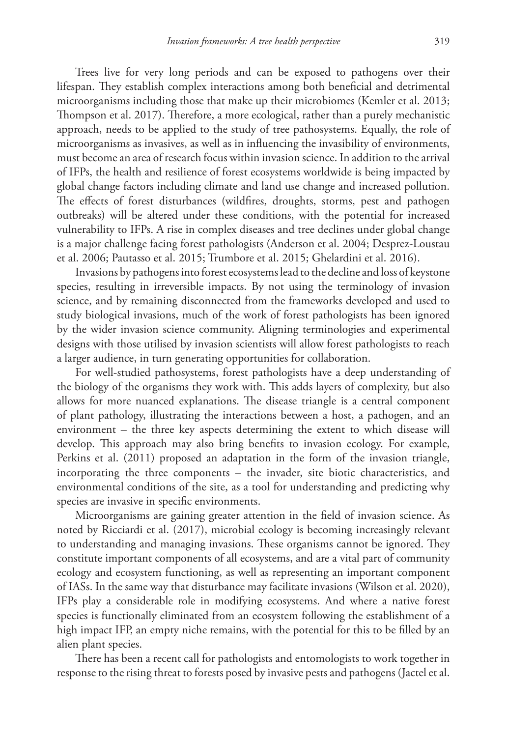Trees live for very long periods and can be exposed to pathogens over their lifespan. They establish complex interactions among both beneficial and detrimental microorganisms including those that make up their microbiomes (Kemler et al. 2013; Thompson et al. 2017). Therefore, a more ecological, rather than a purely mechanistic approach, needs to be applied to the study of tree pathosystems. Equally, the role of microorganisms as invasives, as well as in influencing the invasibility of environments, must become an area of research focus within invasion science. In addition to the arrival of IFPs, the health and resilience of forest ecosystems worldwide is being impacted by global change factors including climate and land use change and increased pollution. The effects of forest disturbances (wildfires, droughts, storms, pest and pathogen outbreaks) will be altered under these conditions, with the potential for increased vulnerability to IFPs. A rise in complex diseases and tree declines under global change is a major challenge facing forest pathologists (Anderson et al. 2004; Desprez-Loustau et al. 2006; Pautasso et al. 2015; Trumbore et al. 2015; Ghelardini et al. 2016).

Invasions by pathogens into forest ecosystems lead to the decline and loss of keystone species, resulting in irreversible impacts. By not using the terminology of invasion science, and by remaining disconnected from the frameworks developed and used to study biological invasions, much of the work of forest pathologists has been ignored by the wider invasion science community. Aligning terminologies and experimental designs with those utilised by invasion scientists will allow forest pathologists to reach a larger audience, in turn generating opportunities for collaboration.

For well-studied pathosystems, forest pathologists have a deep understanding of the biology of the organisms they work with. This adds layers of complexity, but also allows for more nuanced explanations. The disease triangle is a central component of plant pathology, illustrating the interactions between a host, a pathogen, and an environment – the three key aspects determining the extent to which disease will develop. This approach may also bring benefits to invasion ecology. For example, Perkins et al. (2011) proposed an adaptation in the form of the invasion triangle, incorporating the three components – the invader, site biotic characteristics, and environmental conditions of the site, as a tool for understanding and predicting why species are invasive in specific environments.

Microorganisms are gaining greater attention in the field of invasion science. As noted by Ricciardi et al. (2017), microbial ecology is becoming increasingly relevant to understanding and managing invasions. These organisms cannot be ignored. They constitute important components of all ecosystems, and are a vital part of community ecology and ecosystem functioning, as well as representing an important component of IASs. In the same way that disturbance may facilitate invasions (Wilson et al. 2020), IFPs play a considerable role in modifying ecosystems. And where a native forest species is functionally eliminated from an ecosystem following the establishment of a high impact IFP, an empty niche remains, with the potential for this to be filled by an alien plant species.

There has been a recent call for pathologists and entomologists to work together in response to the rising threat to forests posed by invasive pests and pathogens (Jactel et al.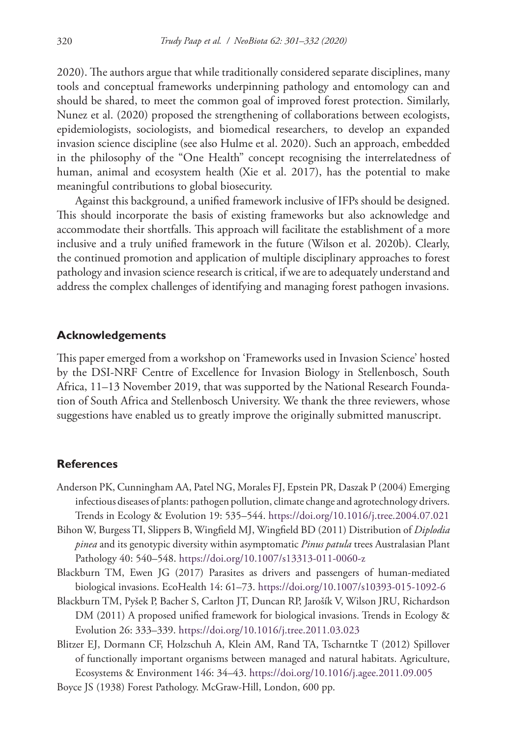2020). The authors argue that while traditionally considered separate disciplines, many tools and conceptual frameworks underpinning pathology and entomology can and should be shared, to meet the common goal of improved forest protection. Similarly, Nunez et al. (2020) proposed the strengthening of collaborations between ecologists, epidemiologists, sociologists, and biomedical researchers, to develop an expanded invasion science discipline (see also Hulme et al. 2020). Such an approach, embedded in the philosophy of the "One Health" concept recognising the interrelatedness of human, animal and ecosystem health (Xie et al. 2017), has the potential to make meaningful contributions to global biosecurity.

Against this background, a unified framework inclusive of IFPs should be designed. This should incorporate the basis of existing frameworks but also acknowledge and accommodate their shortfalls. This approach will facilitate the establishment of a more inclusive and a truly unified framework in the future (Wilson et al. 2020b). Clearly, the continued promotion and application of multiple disciplinary approaches to forest pathology and invasion science research is critical, if we are to adequately understand and address the complex challenges of identifying and managing forest pathogen invasions.

# **Acknowledgements**

This paper emerged from a workshop on 'Frameworks used in Invasion Science' hosted by the DSI-NRF Centre of Excellence for Invasion Biology in Stellenbosch, South Africa, 11–13 November 2019, that was supported by the National Research Foundation of South Africa and Stellenbosch University. We thank the three reviewers, whose suggestions have enabled us to greatly improve the originally submitted manuscript.

### **References**

- Anderson PK, Cunningham AA, Patel NG, Morales FJ, Epstein PR, Daszak P (2004) Emerging infectious diseases of plants: pathogen pollution, climate change and agrotechnology drivers. Trends in Ecology & Evolution 19: 535–544. <https://doi.org/10.1016/j.tree.2004.07.021>
- Bihon W, Burgess TI, Slippers B, Wingfield MJ, Wingfield BD (2011) Distribution of *Diplodia pinea* and its genotypic diversity within asymptomatic *Pinus patula* trees Australasian Plant Pathology 40: 540–548.<https://doi.org/10.1007/s13313-011-0060-z>
- Blackburn TM, Ewen JG (2017) Parasites as drivers and passengers of human-mediated biological invasions. EcoHealth 14: 61–73.<https://doi.org/10.1007/s10393-015-1092-6>
- Blackburn TM, Pyšek P, Bacher S, Carlton JT, Duncan RP, Jarošík V, Wilson JRU, Richardson DM (2011) A proposed unified framework for biological invasions. Trends in Ecology & Evolution 26: 333–339. <https://doi.org/10.1016/j.tree.2011.03.023>
- Blitzer EJ, Dormann CF, Holzschuh A, Klein AM, Rand TA, Tscharntke T (2012) Spillover of functionally important organisms between managed and natural habitats. Agriculture, Ecosystems & Environment 146: 34–43.<https://doi.org/10.1016/j.agee.2011.09.005>
- Boyce JS (1938) Forest Pathology. McGraw-Hill, London, 600 pp.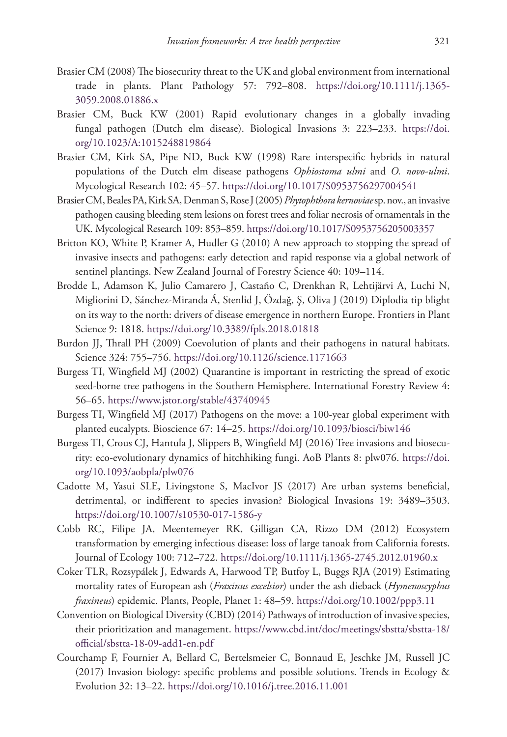- Brasier CM (2008) The biosecurity threat to the UK and global environment from international trade in plants. Plant Pathology 57: 792–808. [https://doi.org/10.1111/j.1365-](https://doi.org/10.1111/j.1365-3059.2008.01886.x) [3059.2008.01886.x](https://doi.org/10.1111/j.1365-3059.2008.01886.x)
- Brasier CM, Buck KW (2001) Rapid evolutionary changes in a globally invading fungal pathogen (Dutch elm disease). Biological Invasions 3: 223–233. [https://doi.](https://doi.org/10.1023/A:1015248819864) [org/10.1023/A:1015248819864](https://doi.org/10.1023/A:1015248819864)
- Brasier CM, Kirk SA, Pipe ND, Buck KW (1998) Rare interspecific hybrids in natural populations of the Dutch elm disease pathogens *Ophiostoma ulmi* and *O. novo-ulmi*. Mycological Research 102: 45–57.<https://doi.org/10.1017/S0953756297004541>
- Brasier CM, Beales PA, Kirk SA, Denman S, Rose J (2005) *Phytophthora kernoviae* sp. nov., an invasive pathogen causing bleeding stem lesions on forest trees and foliar necrosis of ornamentals in the UK. Mycological Research 109: 853–859. <https://doi.org/10.1017/S0953756205003357>
- Britton KO, White P, Kramer A, Hudler G (2010) A new approach to stopping the spread of invasive insects and pathogens: early detection and rapid response via a global network of sentinel plantings. New Zealand Journal of Forestry Science 40: 109–114.
- Brodde L, Adamson K, Julio Camarero J, Castaño C, Drenkhan R, Lehtijärvi A, Luchi N, Migliorini D, Sánchez-Miranda Á, Stenlid J, Özdağ, Ş, Oliva J (2019) Diplodia tip blight on its way to the north: drivers of disease emergence in northern Europe. Frontiers in Plant Science 9: 1818. <https://doi.org/10.3389/fpls.2018.01818>
- Burdon JJ, Thrall PH (2009) Coevolution of plants and their pathogens in natural habitats. Science 324: 755–756. <https://doi.org/10.1126/science.1171663>
- Burgess TI, Wingfield MJ (2002) Quarantine is important in restricting the spread of exotic seed-borne tree pathogens in the Southern Hemisphere. International Forestry Review 4: 56–65.<https://www.jstor.org/stable/43740945>
- Burgess TI, Wingfield MJ (2017) Pathogens on the move: a 100-year global experiment with planted eucalypts. Bioscience 67: 14–25.<https://doi.org/10.1093/biosci/biw146>
- Burgess TI, Crous CJ, Hantula J, Slippers B, Wingfield MJ (2016) Tree invasions and biosecurity: eco-evolutionary dynamics of hitchhiking fungi. AoB Plants 8: plw076. [https://doi.](https://doi.org/10.1093/aobpla/plw076) [org/10.1093/aobpla/plw076](https://doi.org/10.1093/aobpla/plw076)
- Cadotte M, Yasui SLE, Livingstone S, MacIvor JS (2017) Are urban systems beneficial, detrimental, or indifferent to species invasion? Biological Invasions 19: 3489–3503. <https://doi.org/10.1007/s10530-017-1586-y>
- Cobb RC, Filipe JA, Meentemeyer RK, Gilligan CA, Rizzo DM (2012) Ecosystem transformation by emerging infectious disease: loss of large tanoak from California forests. Journal of Ecology 100: 712–722. <https://doi.org/10.1111/j.1365-2745.2012.01960.x>
- Coker TLR, Rozsypálek J, Edwards A, Harwood TP, Butfoy L, Buggs RJA (2019) Estimating mortality rates of European ash (*Fraxinus excelsior*) under the ash dieback (*Hymenoscyphus fraxineus*) epidemic. Plants, People, Planet 1: 48–59. <https://doi.org/10.1002/ppp3.11>
- Convention on Biological Diversity (CBD) (2014) Pathways of introduction of invasive species, their prioritization and management. [https://www.cbd.int/doc/meetings/sbstta/sbstta-18/](https://www.cbd.int/doc/meetings/sbstta/sbstta-18/official/sbstta-18-09-add1-en.pdf) [official/sbstta-18-09-add1-en.pdf](https://www.cbd.int/doc/meetings/sbstta/sbstta-18/official/sbstta-18-09-add1-en.pdf)
- Courchamp F, Fournier A, Bellard C, Bertelsmeier C, Bonnaud E, Jeschke JM, Russell JC (2017) Invasion biology: specific problems and possible solutions. Trends in Ecology & Evolution 32: 13–22. <https://doi.org/10.1016/j.tree.2016.11.001>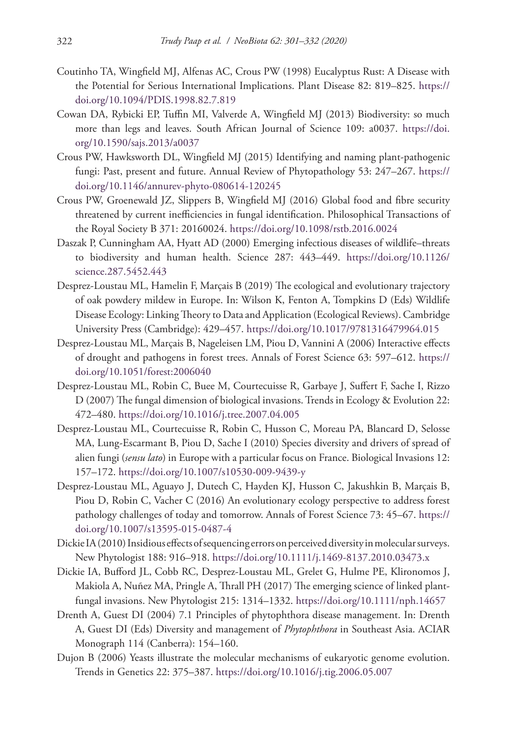- Coutinho TA, Wingfield MJ, Alfenas AC, Crous PW (1998) Eucalyptus Rust: A Disease with the Potential for Serious International Implications. Plant Disease 82: 819–825. [https://](https://doi.org/10.1094/PDIS.1998.82.7.819) [doi.org/10.1094/PDIS.1998.82.7.819](https://doi.org/10.1094/PDIS.1998.82.7.819)
- Cowan DA, Rybicki EP, Tuffin MI, Valverde A, Wingfield MJ (2013) Biodiversity: so much more than legs and leaves. South African Journal of Science 109: a0037. [https://doi.](https://doi.org/10.1590/sajs.2013/a0037) [org/10.1590/sajs.2013/a0037](https://doi.org/10.1590/sajs.2013/a0037)
- Crous PW, Hawksworth DL, Wingfield MJ (2015) Identifying and naming plant-pathogenic fungi: Past, present and future. Annual Review of Phytopathology 53: 247–267. [https://](https://doi.org/10.1146/annurev-phyto-080614-120245) [doi.org/10.1146/annurev-phyto-080614-120245](https://doi.org/10.1146/annurev-phyto-080614-120245)
- Crous PW, Groenewald JZ, Slippers B, Wingfield MJ (2016) Global food and fibre security threatened by current inefficiencies in fungal identification. Philosophical Transactions of the Royal Society B 371: 20160024.<https://doi.org/10.1098/rstb.2016.0024>
- Daszak P, Cunningham AA, Hyatt AD (2000) Emerging infectious diseases of wildlife–threats to biodiversity and human health. Science 287: 443–449. [https://doi.org/10.1126/](https://doi.org/10.1126/science.287.5452.443) [science.287.5452.443](https://doi.org/10.1126/science.287.5452.443)
- Desprez-Loustau ML, Hamelin F, Marçais B (2019) The ecological and evolutionary trajectory of oak powdery mildew in Europe. In: Wilson K, Fenton A, Tompkins D (Eds) Wildlife Disease Ecology: Linking Theory to Data and Application (Ecological Reviews). Cambridge University Press (Cambridge): 429–457. <https://doi.org/10.1017/9781316479964.015>
- Desprez-Loustau ML, Marçais B, Nageleisen LM, Piou D, Vannini A (2006) Interactive effects of drought and pathogens in forest trees. Annals of Forest Science 63: 597–612. [https://](https://doi.org/10.1051/forest:2006040) [doi.org/10.1051/forest:2006040](https://doi.org/10.1051/forest:2006040)
- Desprez-Loustau ML, Robin C, Buee M, Courtecuisse R, Garbaye J, Suffert F, Sache I, Rizzo D (2007) The fungal dimension of biological invasions. Trends in Ecology & Evolution 22: 472–480.<https://doi.org/10.1016/j.tree.2007.04.005>
- Desprez-Loustau ML, Courtecuisse R, Robin C, Husson C, Moreau PA, Blancard D, Selosse MA, Lung-Escarmant B, Piou D, Sache I (2010) Species diversity and drivers of spread of alien fungi (*sensu lato*) in Europe with a particular focus on France. Biological Invasions 12: 157–172.<https://doi.org/10.1007/s10530-009-9439-y>
- Desprez-Loustau ML, Aguayo J, Dutech C, Hayden KJ, Husson C, Jakushkin B, Marçais B, Piou D, Robin C, Vacher C (2016) An evolutionary ecology perspective to address forest pathology challenges of today and tomorrow. Annals of Forest Science 73: 45–67. [https://](https://doi.org/10.1007/s13595-015-0487-4) [doi.org/10.1007/s13595-015-0487-4](https://doi.org/10.1007/s13595-015-0487-4)
- Dickie IA (2010) Insidious effects of sequencing errors on perceived diversity in molecular surveys. New Phytologist 188: 916–918.<https://doi.org/10.1111/j.1469-8137.2010.03473.x>
- Dickie IA, Bufford JL, Cobb RC, Desprez‐Loustau ML, Grelet G, Hulme PE, Klironomos J, Makiola A, Nuñez MA, Pringle A, Thrall PH (2017) The emerging science of linked plantfungal invasions. New Phytologist 215: 1314–1332.<https://doi.org/10.1111/nph.14657>
- Drenth A, Guest DI (2004) 7.1 Principles of phytophthora disease management. In: Drenth A, Guest DI (Eds) Diversity and management of *Phytophthora* in Southeast Asia. ACIAR Monograph 114 (Canberra): 154–160.
- Dujon B (2006) Yeasts illustrate the molecular mechanisms of eukaryotic genome evolution. Trends in Genetics 22: 375–387.<https://doi.org/10.1016/j.tig.2006.05.007>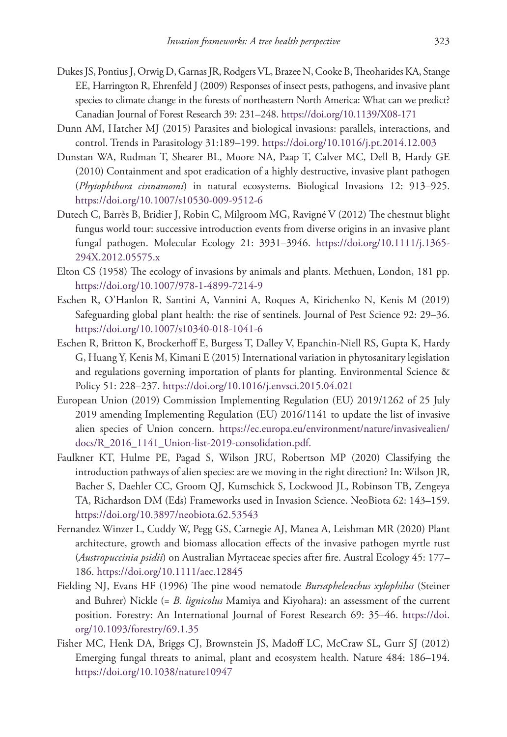- Dukes JS, Pontius J, Orwig D, Garnas JR, Rodgers VL, Brazee N, Cooke B, Theoharides KA, Stange EE, Harrington R, Ehrenfeld J (2009) Responses of insect pests, pathogens, and invasive plant species to climate change in the forests of northeastern North America: What can we predict? Canadian Journal of Forest Research 39: 231–248. <https://doi.org/10.1139/X08-171>
- Dunn AM, Hatcher MJ (2015) Parasites and biological invasions: parallels, interactions, and control. Trends in Parasitology 31:189–199.<https://doi.org/10.1016/j.pt.2014.12.003>
- Dunstan WA, Rudman T, Shearer BL, Moore NA, Paap T, Calver MC, Dell B, Hardy GE (2010) Containment and spot eradication of a highly destructive, invasive plant pathogen (*Phytophthora cinnamomi*) in natural ecosystems. Biological Invasions 12: 913–925. <https://doi.org/10.1007/s10530-009-9512-6>
- Dutech C, Barrès B, Bridier J, Robin C, Milgroom MG, Ravigné V (2012) The chestnut blight fungus world tour: successive introduction events from diverse origins in an invasive plant fungal pathogen. Molecular Ecology 21: 3931–3946. [https://doi.org/10.1111/j.1365-](https://doi.org/10.1111/j.1365-294X.2012.05575.x) [294X.2012.05575.x](https://doi.org/10.1111/j.1365-294X.2012.05575.x)
- Elton CS (1958) The ecology of invasions by animals and plants. Methuen, London, 181 pp. <https://doi.org/10.1007/978-1-4899-7214-9>
- Eschen R, O'Hanlon R, Santini A, Vannini A, Roques A, Kirichenko N, Kenis M (2019) Safeguarding global plant health: the rise of sentinels. Journal of Pest Science 92: 29–36. <https://doi.org/10.1007/s10340-018-1041-6>
- Eschen R, Britton K, Brockerhoff E, Burgess T, Dalley V, Epanchin-Niell RS, Gupta K, Hardy G, Huang Y, Kenis M, Kimani E (2015) International variation in phytosanitary legislation and regulations governing importation of plants for planting. Environmental Science & Policy 51: 228–237.<https://doi.org/10.1016/j.envsci.2015.04.021>
- European Union (2019) Commission Implementing Regulation (EU) 2019/1262 of 25 July 2019 amending Implementing Regulation (EU) 2016/1141 to update the list of invasive alien species of Union concern. [https://ec.europa.eu/environment/nature/invasivealien/](https://ec.europa.eu/environment/nature/invasivealien/docs/R_2016_1141_Union-list-2019-consolidation.pdf) [docs/R\\_2016\\_1141\\_Union-list-2019-consolidation.pdf.](https://ec.europa.eu/environment/nature/invasivealien/docs/R_2016_1141_Union-list-2019-consolidation.pdf)
- Faulkner KT, Hulme PE, Pagad S, Wilson JRU, Robertson MP (2020) Classifying the introduction pathways of alien species: are we moving in the right direction? In: Wilson JR, Bacher S, Daehler CC, Groom QJ, Kumschick S, Lockwood JL, Robinson TB, Zengeya TA, Richardson DM (Eds) Frameworks used in Invasion Science. NeoBiota 62: 143–159. <https://doi.org/10.3897/neobiota.62.53543>
- Fernandez Winzer L, Cuddy W, Pegg GS, Carnegie AJ, Manea A, Leishman MR (2020) Plant architecture, growth and biomass allocation effects of the invasive pathogen myrtle rust (*Austropuccinia psidii*) on Australian Myrtaceae species after fire. Austral Ecology 45: 177– 186.<https://doi.org/10.1111/aec.12845>
- Fielding NJ, Evans HF (1996) The pine wood nematode *Bursaphelenchus xylophilus* (Steiner and Buhrer) Nickle (= *B. lignicolus* Mamiya and Kiyohara): an assessment of the current position. Forestry: An International Journal of Forest Research 69: 35–46. [https://doi.](https://doi.org/10.1093/forestry/69.1.35) [org/10.1093/forestry/69.1.35](https://doi.org/10.1093/forestry/69.1.35)
- Fisher MC, Henk DA, Briggs CJ, Brownstein JS, Madoff LC, McCraw SL, Gurr SJ (2012) Emerging fungal threats to animal, plant and ecosystem health. Nature 484: 186–194. <https://doi.org/10.1038/nature10947>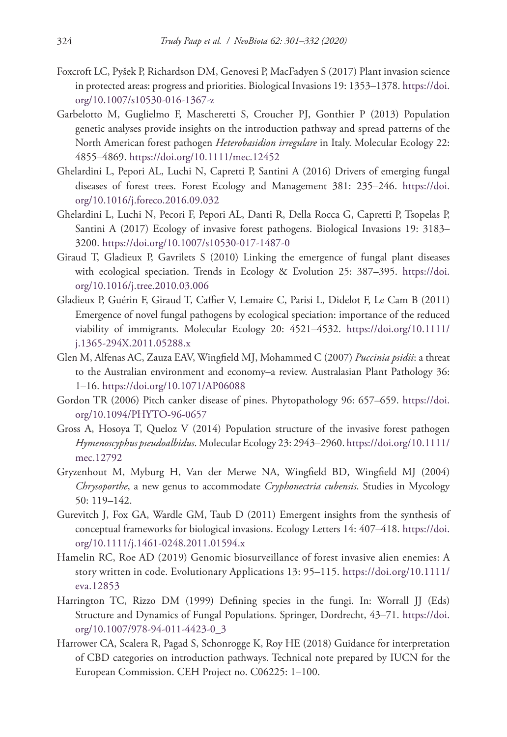- Foxcroft LC, Pyšek P, Richardson DM, Genovesi P, MacFadyen S (2017) Plant invasion science in protected areas: progress and priorities. Biological Invasions 19: 1353–1378. [https://doi.](https://doi.org/10.1007/s10530-016-1367-z) [org/10.1007/s10530-016-1367-z](https://doi.org/10.1007/s10530-016-1367-z)
- Garbelotto M, Guglielmo F, Mascheretti S, Croucher PJ, Gonthier P (2013) Population genetic analyses provide insights on the introduction pathway and spread patterns of the North American forest pathogen *Heterobasidion irregulare* in Italy. Molecular Ecology 22: 4855–4869.<https://doi.org/10.1111/mec.12452>
- Ghelardini L, Pepori AL, Luchi N, Capretti P, Santini A (2016) Drivers of emerging fungal diseases of forest trees. Forest Ecology and Management 381: 235–246. [https://doi.](https://doi.org/10.1016/j.foreco.2016.09.032) [org/10.1016/j.foreco.2016.09.032](https://doi.org/10.1016/j.foreco.2016.09.032)
- Ghelardini L, Luchi N, Pecori F, Pepori AL, Danti R, Della Rocca G, Capretti P, Tsopelas P, Santini A (2017) Ecology of invasive forest pathogens. Biological Invasions 19: 3183– 3200.<https://doi.org/10.1007/s10530-017-1487-0>
- Giraud T, Gladieux P, Gavrilets S (2010) Linking the emergence of fungal plant diseases with ecological speciation. Trends in Ecology & Evolution 25: 387–395. [https://doi.](https://doi.org/10.1016/j.tree.2010.03.006) [org/10.1016/j.tree.2010.03.006](https://doi.org/10.1016/j.tree.2010.03.006)
- Gladieux P, Guérin F, Giraud T, Caffier V, Lemaire C, Parisi L, Didelot F, Le Cam B (2011) Emergence of novel fungal pathogens by ecological speciation: importance of the reduced viability of immigrants. Molecular Ecology 20: 4521–4532. [https://doi.org/10.1111/](https://doi.org/10.1111/j.1365-294X.2011.05288.x) [j.1365-294X.2011.05288.x](https://doi.org/10.1111/j.1365-294X.2011.05288.x)
- Glen M, Alfenas AC, Zauza EAV, Wingfield MJ, Mohammed C (2007) *Puccinia psidii*: a threat to the Australian environment and economy–a review. Australasian Plant Pathology 36: 1–16.<https://doi.org/10.1071/AP06088>
- Gordon TR (2006) Pitch canker disease of pines. Phytopathology 96: 657–659. [https://doi.](https://doi.org/10.1094/PHYTO-96-0657) [org/10.1094/PHYTO-96-0657](https://doi.org/10.1094/PHYTO-96-0657)
- Gross A, Hosoya T, Queloz V (2014) Population structure of the invasive forest pathogen *Hymenoscyphus pseudoalbidus*. Molecular Ecology 23: 2943–2960. [https://doi.org/10.1111/](https://doi.org/10.1111/mec.12792) [mec.12792](https://doi.org/10.1111/mec.12792)
- Gryzenhout M, Myburg H, Van der Merwe NA, Wingfield BD, Wingfield MJ (2004) *Chrysoporthe*, a new genus to accommodate *Cryphonectria cubensis*. Studies in Mycology 50: 119–142.
- Gurevitch J, Fox GA, Wardle GM, Taub D (2011) Emergent insights from the synthesis of conceptual frameworks for biological invasions. Ecology Letters 14: 407–418. [https://doi.](https://doi.org/10.1111/j.1461-0248.2011.01594.x) [org/10.1111/j.1461-0248.2011.01594.x](https://doi.org/10.1111/j.1461-0248.2011.01594.x)
- Hamelin RC, Roe AD (2019) Genomic biosurveillance of forest invasive alien enemies: A story written in code. Evolutionary Applications 13: 95–115. [https://doi.org/10.1111/](https://doi.org/10.1111/eva.12853) [eva.12853](https://doi.org/10.1111/eva.12853)
- Harrington TC, Rizzo DM (1999) Defining species in the fungi. In: Worrall JJ (Eds) Structure and Dynamics of Fungal Populations. Springer, Dordrecht, 43–71. [https://doi.](https://doi.org/10.1007/978-94-011-4423-0_3) [org/10.1007/978-94-011-4423-0\\_3](https://doi.org/10.1007/978-94-011-4423-0_3)
- Harrower CA, Scalera R, Pagad S, Schonrogge K, Roy HE (2018) Guidance for interpretation of CBD categories on introduction pathways. Technical note prepared by IUCN for the European Commission. CEH Project no. C06225: 1–100.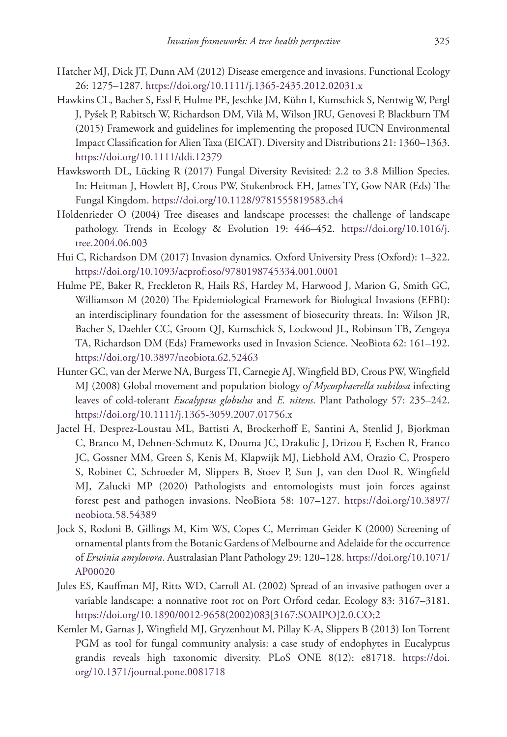- Hatcher MJ, Dick JT, Dunn AM (2012) Disease emergence and invasions. Functional Ecology 26: 1275–1287.<https://doi.org/10.1111/j.1365-2435.2012.02031.x>
- Hawkins CL, Bacher S, Essl F, Hulme PE, Jeschke JM, Kühn I, Kumschick S, Nentwig W, Pergl J, Pyšek P, Rabitsch W, Richardson DM, Vilà M, Wilson JRU, Genovesi P, Blackburn TM (2015) Framework and guidelines for implementing the proposed IUCN Environmental Impact Classification for Alien Taxa (EICAT). Diversity and Distributions 21: 1360–1363. <https://doi.org/10.1111/ddi.12379>
- Hawksworth DL, Lücking R (2017) Fungal Diversity Revisited: 2.2 to 3.8 Million Species. In: Heitman J, Howlett BJ, Crous PW, Stukenbrock EH, James TY, Gow NAR (Eds) The Fungal Kingdom.<https://doi.org/10.1128/9781555819583.ch4>
- Holdenrieder O (2004) Tree diseases and landscape processes: the challenge of landscape pathology. Trends in Ecology & Evolution 19: 446–452. [https://doi.org/10.1016/j.](https://doi.org/10.1016/j.tree.2004.06.003) [tree.2004.06.003](https://doi.org/10.1016/j.tree.2004.06.003)
- Hui C, Richardson DM (2017) Invasion dynamics. Oxford University Press (Oxford): 1–322. <https://doi.org/10.1093/acprof:oso/9780198745334.001.0001>
- Hulme PE, Baker R, Freckleton R, Hails RS, Hartley M, Harwood J, Marion G, Smith GC, Williamson M (2020) The Epidemiological Framework for Biological Invasions (EFBI): an interdisciplinary foundation for the assessment of biosecurity threats. In: Wilson JR, Bacher S, Daehler CC, Groom QJ, Kumschick S, Lockwood JL, Robinson TB, Zengeya TA, Richardson DM (Eds) Frameworks used in Invasion Science. NeoBiota 62: 161–192. <https://doi.org/10.3897/neobiota.62.52463>
- Hunter GC, van der Merwe NA, Burgess TI, Carnegie AJ, Wingfield BD, Crous PW, Wingfield MJ (2008) Global movement and population biology o*f Mycosphaerella nubilosa* infecting leaves of cold-tolerant *Eucalyptus globulus* and *E. nitens*. Plant Pathology 57: 235–242. <https://doi.org/10.1111/j.1365-3059.2007.01756.x>
- Jactel H, Desprez-Loustau ML, Battisti A, Brockerhoff E, Santini A, Stenlid J, Bjorkman C, Branco M, Dehnen-Schmutz K, Douma JC, Drakulic J, Drizou F, Eschen R, Franco JC, Gossner MM, Green S, Kenis M, Klapwijk MJ, Liebhold AM, Orazio C, Prospero S, Robinet C, Schroeder M, Slippers B, Stoev P, Sun J, van den Dool R, Wingfield MJ, Zalucki MP (2020) Pathologists and entomologists must join forces against forest pest and pathogen invasions. NeoBiota 58: 107–127. [https://doi.org/10.3897/](https://doi.org/10.3897/neobiota.58.54389) [neobiota.58.54389](https://doi.org/10.3897/neobiota.58.54389)
- Jock S, Rodoni B, Gillings M, Kim WS, Copes C, Merriman Geider K (2000) Screening of ornamental plants from the Botanic Gardens of Melbourne and Adelaide for the occurrence of *Erwinia amylovora*. Australasian Plant Pathology 29: 120–128. [https://doi.org/10.1071/](https://doi.org/10.1071/AP00020) [AP00020](https://doi.org/10.1071/AP00020)
- Jules ES, Kauffman MJ, Ritts WD, Carroll AL (2002) Spread of an invasive pathogen over a variable landscape: a nonnative root rot on Port Orford cedar. Ecology 83: 3167–3181. [https://doi.org/10.1890/0012-9658\(2002\)083\[3167:SOAIPO\]2.0.CO;2](https://doi.org/10.1890/0012-9658(2002)083%5B3167:SOAIPO%5D2.0.CO;2)
- Kemler M, Garnas J, Wingfield MJ, Gryzenhout M, Pillay K-A, Slippers B (2013) Ion Torrent PGM as tool for fungal community analysis: a case study of endophytes in Eucalyptus grandis reveals high taxonomic diversity. PLoS ONE 8(12): e81718. [https://doi.](https://doi.org/10.1371/journal.pone.0081718) [org/10.1371/journal.pone.0081718](https://doi.org/10.1371/journal.pone.0081718)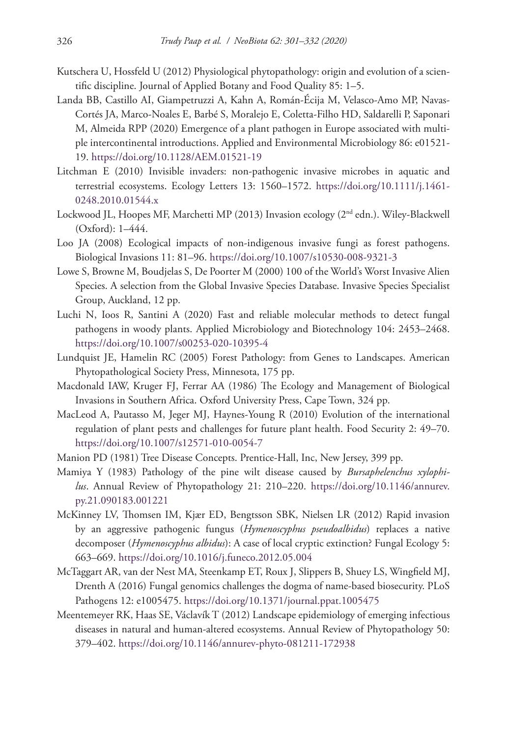- Kutschera U, Hossfeld U (2012) Physiological phytopathology: origin and evolution of a scientific discipline. Journal of Applied Botany and Food Quality 85: 1–5.
- Landa BB, Castillo AI, Giampetruzzi A, Kahn A, Román-Écija M, Velasco-Amo MP, Navas-Cortés JA, Marco-Noales E, Barbé S, Moralejo E, Coletta-Filho HD, Saldarelli P, Saponari M, Almeida RPP (2020) Emergence of a plant pathogen in Europe associated with multiple intercontinental introductions. Applied and Environmental Microbiology 86: e01521- 19.<https://doi.org/10.1128/AEM.01521-19>
- Litchman E (2010) Invisible invaders: non-pathogenic invasive microbes in aquatic and terrestrial ecosystems. Ecology Letters 13: 1560–1572. [https://doi.org/10.1111/j.1461-](https://doi.org/10.1111/j.1461-0248.2010.01544.x) [0248.2010.01544.x](https://doi.org/10.1111/j.1461-0248.2010.01544.x)
- Lockwood JL, Hoopes MF, Marchetti MP (2013) Invasion ecology (2nd edn.). Wiley-Blackwell (Oxford): 1–444.
- Loo JA (2008) Ecological impacts of non-indigenous invasive fungi as forest pathogens. Biological Invasions 11: 81–96. <https://doi.org/10.1007/s10530-008-9321-3>
- Lowe S, Browne M, Boudjelas S, De Poorter M (2000) 100 of the World's Worst Invasive Alien Species. A selection from the Global Invasive Species Database. Invasive Species Specialist Group, Auckland, 12 pp.
- Luchi N, Ioos R, Santini A (2020) Fast and reliable molecular methods to detect fungal pathogens in woody plants. Applied Microbiology and Biotechnology 104: 2453–2468. <https://doi.org/10.1007/s00253-020-10395-4>
- Lundquist JE, Hamelin RC (2005) Forest Pathology: from Genes to Landscapes. American Phytopathological Society Press, Minnesota, 175 pp.
- Macdonald IAW, Kruger FJ, Ferrar AA (1986) The Ecology and Management of Biological Invasions in Southern Africa. Oxford University Press, Cape Town, 324 pp.
- MacLeod A, Pautasso M, Jeger MJ, Haynes-Young R (2010) Evolution of the international regulation of plant pests and challenges for future plant health. Food Security 2: 49–70. <https://doi.org/10.1007/s12571-010-0054-7>
- Manion PD (1981) Tree Disease Concepts. Prentice-Hall, Inc, New Jersey, 399 pp.
- Mamiya Y (1983) Pathology of the pine wilt disease caused by *Bursaphelenchus xylophilus*. Annual Review of Phytopathology 21: 210–220. [https://doi.org/10.1146/annurev.](https://doi.org/10.1146/annurev.py.21.090183.001221) [py.21.090183.001221](https://doi.org/10.1146/annurev.py.21.090183.001221)
- McKinney LV, Thomsen IM, Kjær ED, Bengtsson SBK, Nielsen LR (2012) Rapid invasion by an aggressive pathogenic fungus (*Hymenoscyphus pseudoalbidus*) replaces a native decomposer (*Hymenoscyphus albidus*): A case of local cryptic extinction? Fungal Ecology 5: 663–669.<https://doi.org/10.1016/j.funeco.2012.05.004>
- McTaggart AR, van der Nest MA, Steenkamp ET, Roux J, Slippers B, Shuey LS, Wingfield MJ, Drenth A (2016) Fungal genomics challenges the dogma of name-based biosecurity. PLoS Pathogens 12: e1005475. <https://doi.org/10.1371/journal.ppat.1005475>
- Meentemeyer RK, Haas SE, Václavík T (2012) Landscape epidemiology of emerging infectious diseases in natural and human-altered ecosystems. Annual Review of Phytopathology 50: 379–402.<https://doi.org/10.1146/annurev-phyto-081211-172938>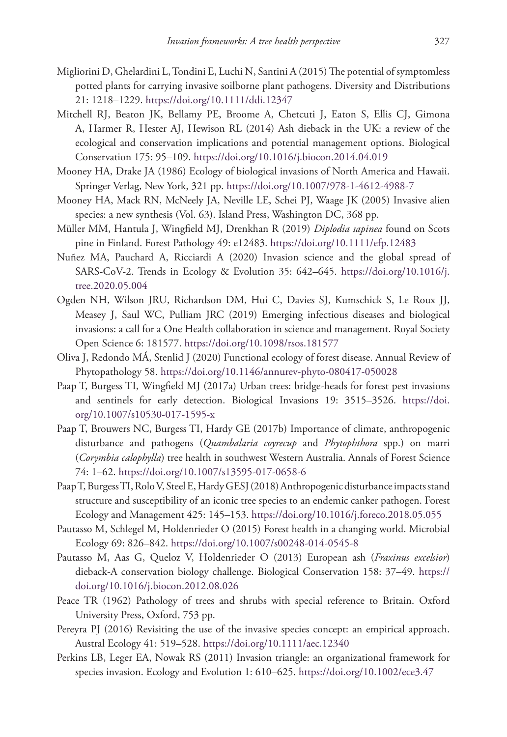- Migliorini D, Ghelardini L, Tondini E, Luchi N, Santini A (2015) The potential of symptomless potted plants for carrying invasive soilborne plant pathogens. Diversity and Distributions 21: 1218–1229.<https://doi.org/10.1111/ddi.12347>
- Mitchell RJ, Beaton JK, Bellamy PE, Broome A, Chetcuti J, Eaton S, Ellis CJ, Gimona A, Harmer R, Hester AJ, Hewison RL (2014) Ash dieback in the UK: a review of the ecological and conservation implications and potential management options. Biological Conservation 175: 95–109. <https://doi.org/10.1016/j.biocon.2014.04.019>
- Mooney HA, Drake JA (1986) Ecology of biological invasions of North America and Hawaii. Springer Verlag, New York, 321 pp.<https://doi.org/10.1007/978-1-4612-4988-7>
- Mooney HA, Mack RN, McNeely JA, Neville LE, Schei PJ, Waage JK (2005) Invasive alien species: a new synthesis (Vol. 63). Island Press, Washington DC, 368 pp.
- Müller MM, Hantula J, Wingfield MJ, Drenkhan R (2019) *Diplodia sapinea* found on Scots pine in Finland. Forest Pathology 49: e12483. <https://doi.org/10.1111/efp.12483>
- Nuñez MA, Pauchard A, Ricciardi A (2020) Invasion science and the global spread of SARS-CoV-2. Trends in Ecology & Evolution 35: 642–645. [https://doi.org/10.1016/j.](https://doi.org/10.1016/j.tree.2020.05.004) [tree.2020.05.004](https://doi.org/10.1016/j.tree.2020.05.004)
- Ogden NH, Wilson JRU, Richardson DM, Hui C, Davies SJ, Kumschick S, Le Roux JJ, Measey J, Saul WC, Pulliam JRC (2019) Emerging infectious diseases and biological invasions: a call for a One Health collaboration in science and management. Royal Society Open Science 6: 181577.<https://doi.org/10.1098/rsos.181577>
- Oliva J, Redondo MÁ, Stenlid J (2020) Functional ecology of forest disease. Annual Review of Phytopathology 58.<https://doi.org/10.1146/annurev-phyto-080417-050028>
- Paap T, Burgess TI, Wingfield MJ (2017a) Urban trees: bridge-heads for forest pest invasions and sentinels for early detection. Biological Invasions 19: 3515–3526. [https://doi.](https://doi.org/10.1007/s10530-017-1595-x) [org/10.1007/s10530-017-1595-x](https://doi.org/10.1007/s10530-017-1595-x)
- Paap T, Brouwers NC, Burgess TI, Hardy GE (2017b) Importance of climate, anthropogenic disturbance and pathogens (*Quambalaria coyrecup* and *Phytophthora* spp.) on marri (*Corymbia calophylla*) tree health in southwest Western Australia. Annals of Forest Science 74: 1–62.<https://doi.org/10.1007/s13595-017-0658-6>
- Paap T, Burgess TI, Rolo V, Steel E, Hardy GESJ (2018) Anthropogenic disturbance impacts stand structure and susceptibility of an iconic tree species to an endemic canker pathogen. Forest Ecology and Management 425: 145–153.<https://doi.org/10.1016/j.foreco.2018.05.055>
- Pautasso M, Schlegel M, Holdenrieder O (2015) Forest health in a changing world. Microbial Ecology 69: 826–842. <https://doi.org/10.1007/s00248-014-0545-8>
- Pautasso M, Aas G, Queloz V, Holdenrieder O (2013) European ash (*Fraxinus excelsior*) dieback-A conservation biology challenge. Biological Conservation 158: 37–49. [https://](https://doi.org/10.1016/j.biocon.2012.08.026) [doi.org/10.1016/j.biocon.2012.08.026](https://doi.org/10.1016/j.biocon.2012.08.026)
- Peace TR (1962) Pathology of trees and shrubs with special reference to Britain. Oxford University Press, Oxford, 753 pp.
- Pereyra PJ (2016) Revisiting the use of the invasive species concept: an empirical approach. Austral Ecology 41: 519–528. <https://doi.org/10.1111/aec.12340>
- Perkins LB, Leger EA, Nowak RS (2011) Invasion triangle: an organizational framework for species invasion. Ecology and Evolution 1: 610–625. <https://doi.org/10.1002/ece3.47>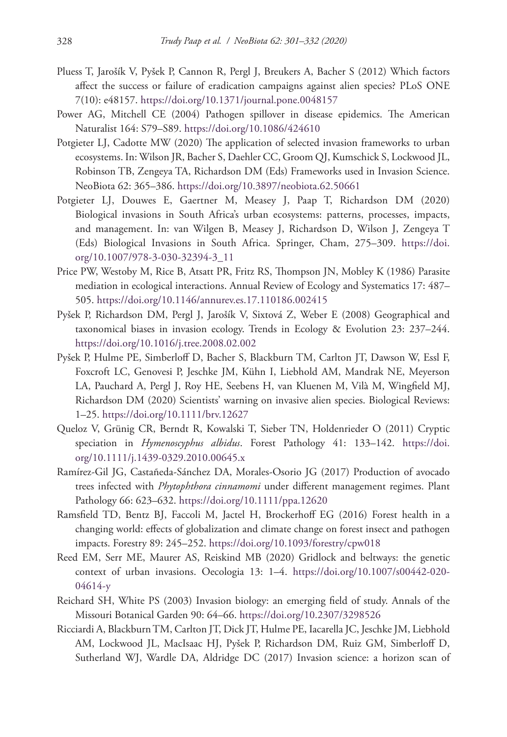- Pluess T, Jarošík V, Pyšek P, Cannon R, Pergl J, Breukers A, Bacher S (2012) Which factors affect the success or failure of eradication campaigns against alien species? PLoS ONE 7(10): e48157. <https://doi.org/10.1371/journal.pone.0048157>
- Power AG, Mitchell CE (2004) Pathogen spillover in disease epidemics. The American Naturalist 164: S79–S89.<https://doi.org/10.1086/424610>
- Potgieter LJ, Cadotte MW (2020) The application of selected invasion frameworks to urban ecosystems. In: Wilson JR, Bacher S, Daehler CC, Groom QJ, Kumschick S, Lockwood JL, Robinson TB, Zengeya TA, Richardson DM (Eds) Frameworks used in Invasion Science. NeoBiota 62: 365–386. <https://doi.org/10.3897/neobiota.62.50661>
- Potgieter LJ, Douwes E, Gaertner M, Measey J, Paap T, Richardson DM (2020) Biological invasions in South Africa's urban ecosystems: patterns, processes, impacts, and management. In: van Wilgen B, Measey J, Richardson D, Wilson J, Zengeya T (Eds) Biological Invasions in South Africa. Springer, Cham, 275–309. [https://doi.](https://doi.org/10.1007/978-3-030-32394-3_11) [org/10.1007/978-3-030-32394-3\\_11](https://doi.org/10.1007/978-3-030-32394-3_11)
- Price PW, Westoby M, Rice B, Atsatt PR, Fritz RS, Thompson JN, Mobley K (1986) Parasite mediation in ecological interactions. Annual Review of Ecology and Systematics 17: 487– 505.<https://doi.org/10.1146/annurev.es.17.110186.002415>
- Pyšek P, Richardson DM, Pergl J, Jarošík V, Sixtová Z, Weber E (2008) Geographical and taxonomical biases in invasion ecology. Trends in Ecology & Evolution 23: 237–244. <https://doi.org/10.1016/j.tree.2008.02.002>
- Pyšek P, Hulme PE, Simberloff D, Bacher S, Blackburn TM, Carlton JT, Dawson W, Essl F, Foxcroft LC, Genovesi P, Jeschke JM, Kühn I, Liebhold AM, Mandrak NE, Meyerson LA, Pauchard A, Pergl J, Roy HE, Seebens H, van Kluenen M, Vilà M, Wingfield MJ, Richardson DM (2020) Scientists' warning on invasive alien species. Biological Reviews: 1–25.<https://doi.org/10.1111/brv.12627>
- Queloz V, Grünig CR, Berndt R, Kowalski T, Sieber TN, Holdenrieder O (2011) Cryptic speciation in *Hymenoscyphus albidus*. Forest Pathology 41: 133–142. [https://doi.](https://doi.org/10.1111/j.1439-0329.2010.00645.x) [org/10.1111/j.1439-0329.2010.00645.x](https://doi.org/10.1111/j.1439-0329.2010.00645.x)
- Ramírez‐Gil JG, Castañeda‐Sánchez DA, Morales‐Osorio JG (2017) Production of avocado trees infected with *Phytophthora cinnamomi* under different management regimes. Plant Pathology 66: 623–632.<https://doi.org/10.1111/ppa.12620>
- Ramsfield TD, Bentz BJ, Faccoli M, Jactel H, Brockerhoff EG (2016) Forest health in a changing world: effects of globalization and climate change on forest insect and pathogen impacts. Forestry 89: 245–252.<https://doi.org/10.1093/forestry/cpw018>
- Reed EM, Serr ME, Maurer AS, Reiskind MB (2020) Gridlock and beltways: the genetic context of urban invasions. Oecologia 13: 1–4. [https://doi.org/10.1007/s00442-020-](https://doi.org/10.1007/s00442-020-04614-y) [04614-y](https://doi.org/10.1007/s00442-020-04614-y)
- Reichard SH, White PS (2003) Invasion biology: an emerging field of study. Annals of the Missouri Botanical Garden 90: 64–66.<https://doi.org/10.2307/3298526>
- Ricciardi A, Blackburn TM, Carlton JT, Dick JT, Hulme PE, Iacarella JC, Jeschke JM, Liebhold AM, Lockwood JL, MacIsaac HJ, Pyšek P, Richardson DM, Ruiz GM, Simberloff D, Sutherland WJ, Wardle DA, Aldridge DC (2017) Invasion science: a horizon scan of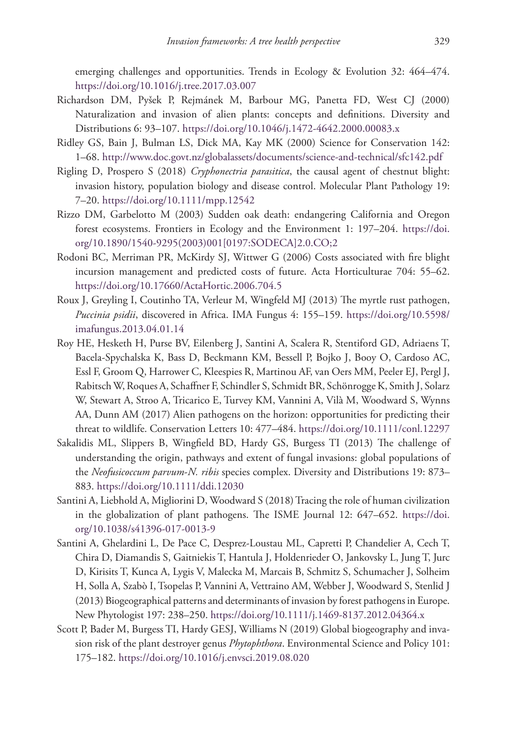emerging challenges and opportunities. Trends in Ecology & Evolution 32: 464–474. <https://doi.org/10.1016/j.tree.2017.03.007>

- Richardson DM, Pyšek P, Rejmánek M, Barbour MG, Panetta FD, West CJ (2000) Naturalization and invasion of alien plants: concepts and definitions. Diversity and Distributions 6: 93–107.<https://doi.org/10.1046/j.1472-4642.2000.00083.x>
- Ridley GS, Bain J, Bulman LS, Dick MA, Kay MK (2000) Science for Conservation 142: 1–68.<http://www.doc.govt.nz/globalassets/documents/science-and-technical/sfc142.pdf>
- Rigling D, Prospero S (2018) *Cryphonectria parasitica*, the causal agent of chestnut blight: invasion history, population biology and disease control. Molecular Plant Pathology 19: 7–20.<https://doi.org/10.1111/mpp.12542>
- Rizzo DM, Garbelotto M (2003) Sudden oak death: endangering California and Oregon forest ecosystems. Frontiers in Ecology and the Environment 1: 197–204. [https://doi.](https://doi.org/10.1890/1540-9295(2003)001%5B0197:SODECA%5D2.0.CO;2) [org/10.1890/1540-9295\(2003\)001\[0197:SODECA\]2.0.CO;2](https://doi.org/10.1890/1540-9295(2003)001%5B0197:SODECA%5D2.0.CO;2)
- Rodoni BC, Merriman PR, McKirdy SJ, Wittwer G (2006) Costs associated with fire blight incursion management and predicted costs of future. Acta Horticulturae 704: 55–62. <https://doi.org/10.17660/ActaHortic.2006.704.5>
- Roux J, Greyling I, Coutinho TA, Verleur M, Wingfeld MJ (2013) The myrtle rust pathogen, *Puccinia psidii*, discovered in Africa. IMA Fungus 4: 155–159. [https://doi.org/10.5598/](https://doi.org/10.5598/imafungus.2013.04.01.14) [imafungus.2013.04.01.14](https://doi.org/10.5598/imafungus.2013.04.01.14)
- Roy HE, Hesketh H, Purse BV, Eilenberg J, Santini A, Scalera R, Stentiford GD, Adriaens T, Bacela‐Spychalska K, Bass D, Beckmann KM, Bessell P, Bojko J, Booy O, Cardoso AC, Essl F, Groom Q, Harrower C, Kleespies R, Martinou AF, van Oers MM, Peeler EJ, Pergl J, Rabitsch W, Roques A, Schaffner F, Schindler S, Schmidt BR, Schönrogge K, Smith J, Solarz W, Stewart A, Stroo A, Tricarico E, Turvey KM, Vannini A, Vilà M, Woodward S, Wynns AA, Dunn AM (2017) Alien pathogens on the horizon: opportunities for predicting their threat to wildlife. Conservation Letters 10: 477–484. <https://doi.org/10.1111/conl.12297>
- Sakalidis ML, Slippers B, Wingfield BD, Hardy GS, Burgess TI (2013) The challenge of understanding the origin, pathways and extent of fungal invasions: global populations of the *Neofusicoccum parvum*-*N. ribis* species complex. Diversity and Distributions 19: 873– 883.<https://doi.org/10.1111/ddi.12030>
- Santini A, Liebhold A, Migliorini D, Woodward S (2018) Tracing the role of human civilization in the globalization of plant pathogens. The ISME Journal 12: 647–652. [https://doi.](https://doi.org/10.1038/s41396-017-0013-9) [org/10.1038/s41396-017-0013-9](https://doi.org/10.1038/s41396-017-0013-9)
- Santini A, Ghelardini L, De Pace C, Desprez‐Loustau ML, Capretti P, Chandelier A, Cech T, Chira D, Diamandis S, Gaitniekis T, Hantula J, Holdenrieder O, Jankovsky L, Jung T, Jurc D, Kirisits T, Kunca A, Lygis V, Malecka M, Marcais B, Schmitz S, Schumacher J, Solheim H, Solla A, Szabò I, Tsopelas P, Vannini A, Vettraino AM, Webber J, Woodward S, Stenlid J (2013) Biogeographical patterns and determinants of invasion by forest pathogens in Europe. New Phytologist 197: 238–250.<https://doi.org/10.1111/j.1469-8137.2012.04364.x>
- Scott P, Bader M, Burgess TI, Hardy GESJ, Williams N (2019) Global biogeography and invasion risk of the plant destroyer genus *Phytophthora*. Environmental Science and Policy 101: 175–182.<https://doi.org/10.1016/j.envsci.2019.08.020>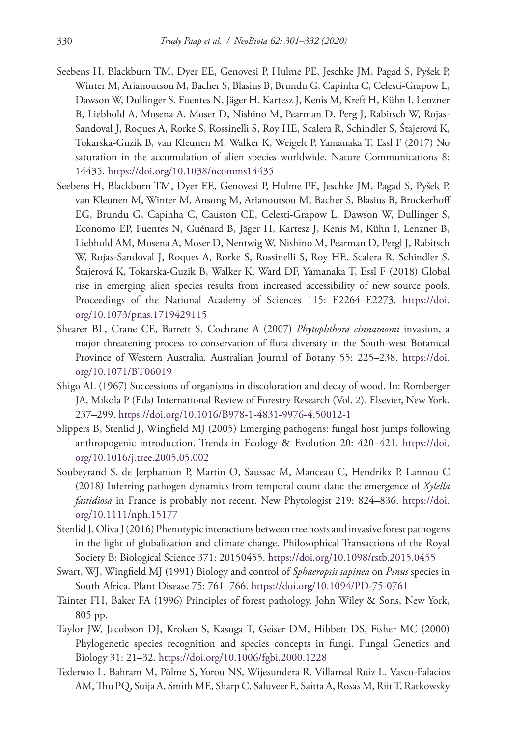- Seebens H, Blackburn TM, Dyer EE, Genovesi P, Hulme PE, Jeschke JM, Pagad S, Pyšek P, Winter M, Arianoutsou M, Bacher S, Blasius B, Brundu G, Capinha C, Celesti-Grapow L, Dawson W, Dullinger S, Fuentes N, Jäger H, Kartesz J, Kenis M, Kreft H, Kühn I, Lenzner B, Liebhold A, Mosena A, Moser D, Nishino M, Pearman D, Perg J, Rabitsch W, Rojas-Sandoval J, Roques A, Rorke S, Rossinelli S, Roy HE, Scalera R, Schindler S, Štajerová K, Tokarska-Guzik B, van Kleunen M, Walker K, Weigelt P, Yamanaka T, Essl F (2017) No saturation in the accumulation of alien species worldwide. Nature Communications 8: 14435.<https://doi.org/10.1038/ncomms14435>
- Seebens H, Blackburn TM, Dyer EE, Genovesi P, Hulme PE, Jeschke JM, Pagad S, Pyšek P, van Kleunen M, Winter M, Ansong M, Arianoutsou M, Bacher S, Blasius B, Brockerhoff EG, Brundu G, Capinha C, Causton CE, Celesti-Grapow L, Dawson W, Dullinger S, Economo EP, Fuentes N, Guénard B, Jäger H, Kartesz J, Kenis M, Kühn I, Lenzner B, Liebhold AM, Mosena A, Moser D, Nentwig W, Nishino M, Pearman D, Pergl J, Rabitsch W, Rojas-Sandoval J, Roques A, Rorke S, Rossinelli S, Roy HE, Scalera R, Schindler S, Štajerová K, Tokarska-Guzik B, Walker K, Ward DF, Yamanaka T, Essl F (2018) Global rise in emerging alien species results from increased accessibility of new source pools. Proceedings of the National Academy of Sciences 115: E2264–E2273. [https://doi.](https://doi.org/10.1073/pnas.1719429115) [org/10.1073/pnas.1719429115](https://doi.org/10.1073/pnas.1719429115)
- Shearer BL, Crane CE, Barrett S, Cochrane A (2007) *Phytophthora cinnamomi* invasion, a major threatening process to conservation of flora diversity in the South-west Botanical Province of Western Australia. Australian Journal of Botany 55: 225–238. [https://doi.](https://doi.org/10.1071/BT06019) [org/10.1071/BT06019](https://doi.org/10.1071/BT06019)
- Shigo AL (1967) Successions of organisms in discoloration and decay of wood. In: Romberger JA, Mikola P (Eds) International Review of Forestry Research (Vol. 2). Elsevier, New York, 237–299.<https://doi.org/10.1016/B978-1-4831-9976-4.50012-1>
- Slippers B, Stenlid J, Wingfield MJ (2005) Emerging pathogens: fungal host jumps following anthropogenic introduction. Trends in Ecology & Evolution 20: 420–421. [https://doi.](https://doi.org/10.1016/j.tree.2005.05.002) [org/10.1016/j.tree.2005.05.002](https://doi.org/10.1016/j.tree.2005.05.002)
- Soubeyrand S, de Jerphanion P, Martin O, Saussac M, Manceau C, Hendrikx P, Lannou C (2018) Inferring pathogen dynamics from temporal count data: the emergence of *Xylella fastidiosa* in France is probably not recent. New Phytologist 219: 824–836. [https://doi.](https://doi.org/10.1111/nph.15177) [org/10.1111/nph.15177](https://doi.org/10.1111/nph.15177)
- Stenlid J, Oliva J (2016) Phenotypic interactions between tree hosts and invasive forest pathogens in the light of globalization and climate change. Philosophical Transactions of the Royal Society B: Biological Science 371: 20150455.<https://doi.org/10.1098/rstb.2015.0455>
- Swart, WJ, Wingfield MJ (1991) Biology and control of *Sphaeropsis sapinea* on *Pinus* species in South Africa. Plant Disease 75: 761–766. <https://doi.org/10.1094/PD-75-0761>
- Tainter FH, Baker FA (1996) Principles of forest pathology. John Wiley & Sons, New York, 805 pp.
- Taylor JW, Jacobson DJ, Kroken S, Kasuga T, Geiser DM, Hibbett DS, Fisher MC (2000) Phylogenetic species recognition and species concepts in fungi. Fungal Genetics and Biology 31: 21–32.<https://doi.org/10.1006/fgbi.2000.1228>
- Tedersoo L, Bahram M, Põlme S, Yorou NS, Wijesundera R, Villarreal Ruiz L, Vasco-Palacios AM, Thu PQ, Suija A, Smith ME, Sharp C, Saluveer E, Saitta A, Rosas M, Riit T, Ratkowsky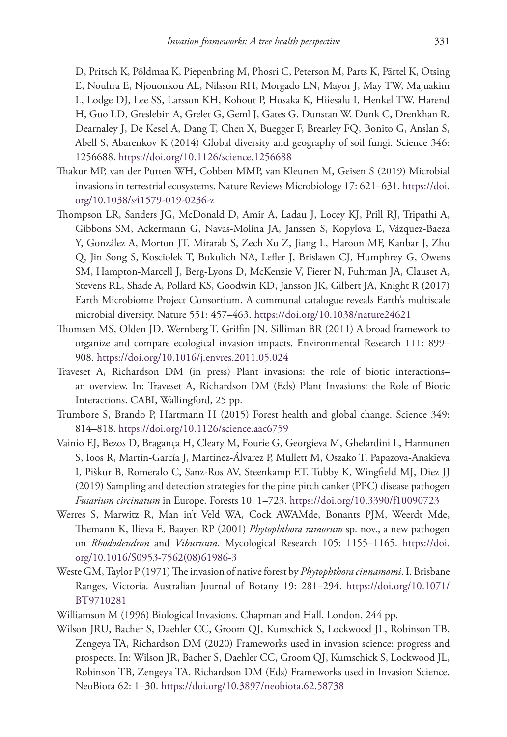D, Pritsch K, Põldmaa K, Piepenbring M, Phosri C, Peterson M, Parts K, Pärtel K, Otsing E, Nouhra E, Njouonkou AL, Nilsson RH, Morgado LN, Mayor J, May TW, Majuakim L, Lodge DJ, Lee SS, Larsson KH, Kohout P, Hosaka K, Hiiesalu I, Henkel TW, Harend H, Guo LD, Greslebin A, Grelet G, Geml J, Gates G, Dunstan W, Dunk C, Drenkhan R, Dearnaley J, De Kesel A, Dang T, Chen X, Buegger F, Brearley FQ, Bonito G, Anslan S, Abell S, Abarenkov K (2014) Global diversity and geography of soil fungi. Science 346: 1256688.<https://doi.org/10.1126/science.1256688>

- Thakur MP, van der Putten WH, Cobben MMP, van Kleunen M, Geisen S (2019) Microbial invasions in terrestrial ecosystems. Nature Reviews Microbiology 17: 621–631. [https://doi.](https://doi.org/10.1038/s41579-019-0236-z) [org/10.1038/s41579-019-0236-z](https://doi.org/10.1038/s41579-019-0236-z)
- Thompson LR, Sanders JG, McDonald D, Amir A, Ladau J, Locey KJ, Prill RJ, Tripathi A, Gibbons SM, Ackermann G, Navas-Molina JA, Janssen S, Kopylova E, Vázquez-Baeza Y, González A, Morton JT, Mirarab S, Zech Xu Z, Jiang L, Haroon MF, Kanbar J, Zhu Q, Jin Song S, Kosciolek T, Bokulich NA, Lefler J, Brislawn CJ, Humphrey G, Owens SM, Hampton-Marcell J, Berg-Lyons D, McKenzie V, Fierer N, Fuhrman JA, Clauset A, Stevens RL, Shade A, Pollard KS, Goodwin KD, Jansson JK, Gilbert JA, Knight R (2017) Earth Microbiome Project Consortium. A communal catalogue reveals Earth's multiscale microbial diversity. Nature 551: 457–463. <https://doi.org/10.1038/nature24621>
- Thomsen MS, Olden JD, Wernberg T, Griffin JN, Silliman BR (2011) A broad framework to organize and compare ecological invasion impacts. Environmental Research 111: 899– 908.<https://doi.org/10.1016/j.envres.2011.05.024>
- Traveset A, Richardson DM (in press) Plant invasions: the role of biotic interactions– an overview. In: Traveset A, Richardson DM (Eds) Plant Invasions: the Role of Biotic Interactions. CABI, Wallingford, 25 pp.
- Trumbore S, Brando P, Hartmann H (2015) Forest health and global change. Science 349: 814–818.<https://doi.org/10.1126/science.aac6759>
- Vainio EJ, Bezos D, Bragança H, Cleary M, Fourie G, Georgieva M, Ghelardini L, Hannunen S, Ioos R, Martín-García J, Martínez-Álvarez P, Mullett M, Oszako T, Papazova-Anakieva I, Piškur B, Romeralo C, Sanz-Ros AV, Steenkamp ET, Tubby K, Wingfield MJ, Diez JJ (2019) Sampling and detection strategies for the pine pitch canker (PPC) disease pathogen *Fusarium circinatum* in Europe. Forests 10: 1–723.<https://doi.org/10.3390/f10090723>
- Werres S, Marwitz R, Man in't Veld WA, Cock AWAMde, Bonants PJM, Weerdt Mde, Themann K, Ilieva E, Baayen RP (2001) *Phytophthora ramorum* sp. nov., a new pathogen on *Rhododendron* and *Viburnum*. Mycological Research 105: 1155–1165. [https://doi.](https://doi.org/10.1016/S0953-7562(08)61986-3) [org/10.1016/S0953-7562\(08\)61986-3](https://doi.org/10.1016/S0953-7562(08)61986-3)
- Weste GM, Taylor P (1971) The invasion of native forest by *Phytophthora cinnamomi*. I. Brisbane Ranges, Victoria. Australian Journal of Botany 19: 281–294. [https://doi.org/10.1071/](https://doi.org/10.1071/BT9710281) [BT9710281](https://doi.org/10.1071/BT9710281)
- Williamson M (1996) Biological Invasions. Chapman and Hall, London, 244 pp.
- Wilson JRU, Bacher S, Daehler CC, Groom QJ, Kumschick S, Lockwood JL, Robinson TB, Zengeya TA, Richardson DM (2020) Frameworks used in invasion science: progress and prospects. In: Wilson JR, Bacher S, Daehler CC, Groom QJ, Kumschick S, Lockwood JL, Robinson TB, Zengeya TA, Richardson DM (Eds) Frameworks used in Invasion Science. NeoBiota 62: 1–30. <https://doi.org/10.3897/neobiota.62.58738>